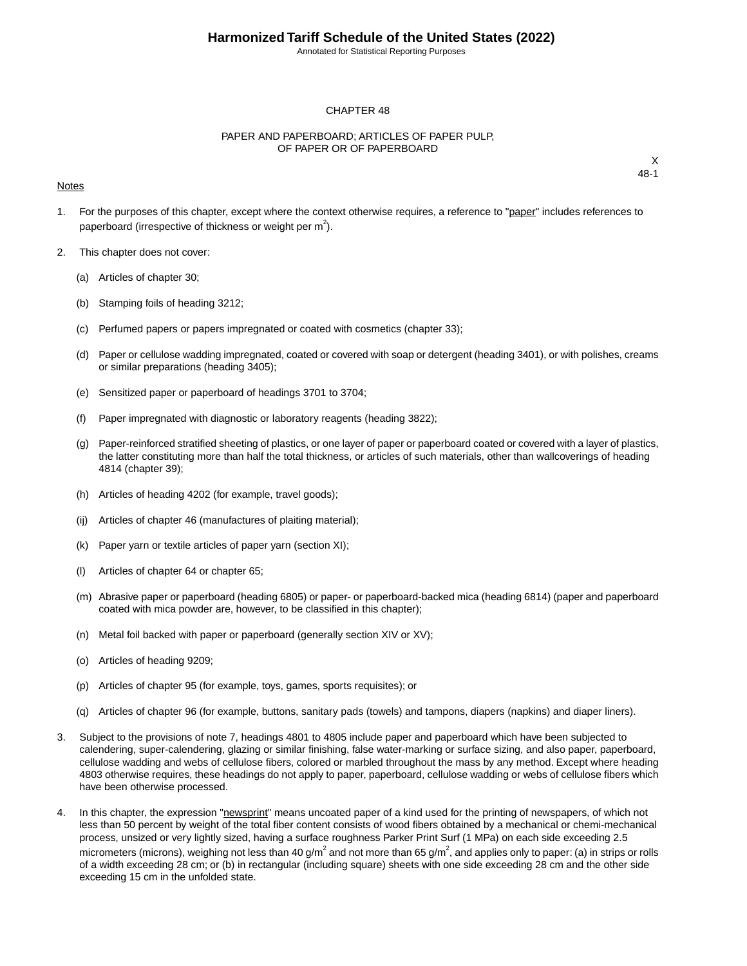Annotated for Statistical Reporting Purposes

#### CHAPTER 48

#### PAPER AND PAPERBOARD; ARTICLES OF PAPER PULP, OF PAPER OR OF PAPERBOARD

#### Notes

- 1. For the purposes of this chapter, except where the context otherwise requires, a reference to "paper" includes references to paperboard (irrespective of thickness or weight per  $m^2$ ).
- 2. This chapter does not cover:
	- (a) Articles of chapter 30;
	- (b) Stamping foils of heading 3212;
	- (c) Perfumed papers or papers impregnated or coated with cosmetics (chapter 33);
	- (d) Paper or cellulose wadding impregnated, coated or covered with soap or detergent (heading 3401), or with polishes, creams or similar preparations (heading 3405);
	- (e) Sensitized paper or paperboard of headings 3701 to 3704;
	- (f) Paper impregnated with diagnostic or laboratory reagents (heading 3822);
	- (g) Paper-reinforced stratified sheeting of plastics, or one layer of paper or paperboard coated or covered with a layer of plastics, the latter constituting more than half the total thickness, or articles of such materials, other than wallcoverings of heading 4814 (chapter 39);
	- (h) Articles of heading 4202 (for example, travel goods);
	- (ij) Articles of chapter 46 (manufactures of plaiting material);
	- (k) Paper yarn or textile articles of paper yarn (section XI);
	- (l) Articles of chapter 64 or chapter 65;
	- (m) Abrasive paper or paperboard (heading 6805) or paper- or paperboard-backed mica (heading 6814) (paper and paperboard coated with mica powder are, however, to be classified in this chapter);
	- (n) Metal foil backed with paper or paperboard (generally section XIV or XV);
	- (o) Articles of heading 9209;
	- (p) Articles of chapter 95 (for example, toys, games, sports requisites); or
	- (q) Articles of chapter 96 (for example, buttons, sanitary pads (towels) and tampons, diapers (napkins) and diaper liners).
- 3. Subject to the provisions of note 7, headings 4801 to 4805 include paper and paperboard which have been subjected to calendering, super-calendering, glazing or similar finishing, false water-marking or surface sizing, and also paper, paperboard, cellulose wadding and webs of cellulose fibers, colored or marbled throughout the mass by any method. Except where heading 4803 otherwise requires, these headings do not apply to paper, paperboard, cellulose wadding or webs of cellulose fibers which have been otherwise processed.
- 4. In this chapter, the expression "newsprint" means uncoated paper of a kind used for the printing of newspapers, of which not less than 50 percent by weight of the total fiber content consists of wood fibers obtained by a mechanical or chemi-mechanical process, unsized or very lightly sized, having a surface roughness Parker Print Surf (1 MPa) on each side exceeding 2.5 micrometers (microns), weighing not less than 40 g/m<sup>2</sup> and not more than 65 g/m<sup>2</sup>, and applies only to paper: (a) in strips or rolls of a width exceeding 28 cm; or (b) in rectangular (including square) sheets with one side exceeding 28 cm and the other side exceeding 15 cm in the unfolded state.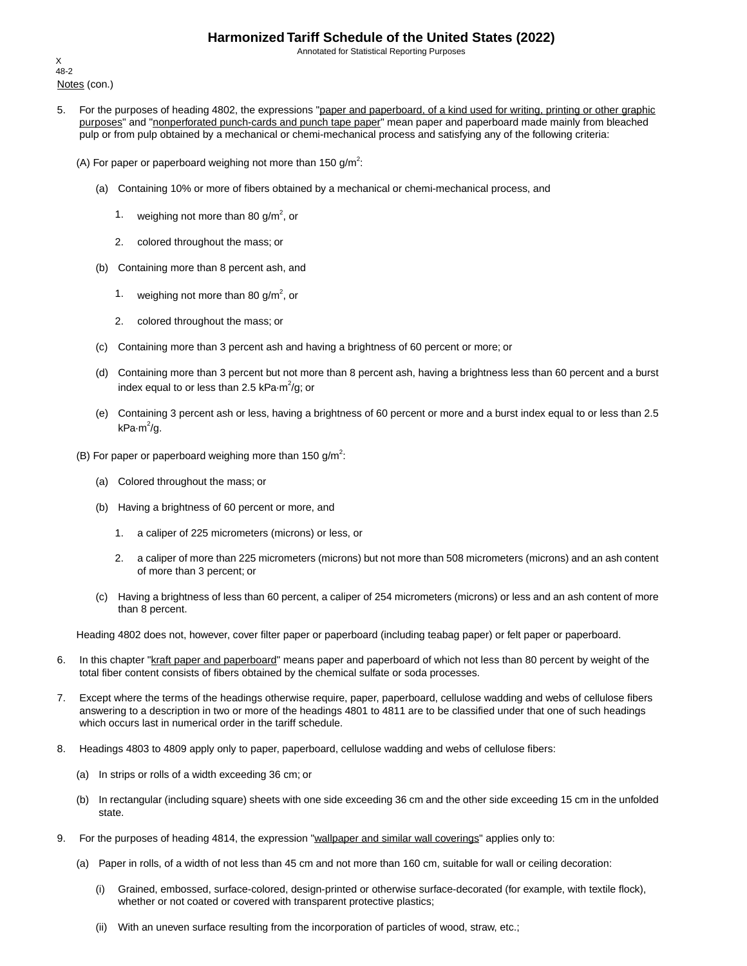Annotated for Statistical Reporting Purposes

Notes (con.) X 48-2

- 5. For the purposes of heading 4802, the expressions "paper and paperboard, of a kind used for writing, printing or other graphic purposes" and "nonperforated punch-cards and punch tape paper" mean paper and paperboard made mainly from bleached pulp or from pulp obtained by a mechanical or chemi-mechanical process and satisfying any of the following criteria:
	- (A) For paper or paperboard weighing not more than 150 g/m<sup>2</sup>:
		- (a) Containing 10% or more of fibers obtained by a mechanical or chemi-mechanical process, and
			- 1. weighing not more than 80 g/m<sup>2</sup>, or
			- 2. colored throughout the mass; or
		- (b) Containing more than 8 percent ash, and
			- 1. weighing not more than 80 g/m<sup>2</sup>, or
			- 2. colored throughout the mass; or
		- (c) Containing more than 3 percent ash and having a brightness of 60 percent or more; or
		- (d) Containing more than 3 percent but not more than 8 percent ash, having a brightness less than 60 percent and a burst index equal to or less than 2.5 kPa $\cdot$ m $^2$ /g; or
		- (e) Containing 3 percent ash or less, having a brightness of 60 percent or more and a burst index equal to or less than 2.5 kPa·m<sup>2</sup>/g.
	- (B) For paper or paperboard weighing more than 150 g/m<sup>2</sup>:
		- (a) Colored throughout the mass; or
		- (b) Having a brightness of 60 percent or more, and
			- 1. a caliper of 225 micrometers (microns) or less, or
			- 2. a caliper of more than 225 micrometers (microns) but not more than 508 micrometers (microns) and an ash content of more than 3 percent; or
		- (c) Having a brightness of less than 60 percent, a caliper of 254 micrometers (microns) or less and an ash content of more than 8 percent.

Heading 4802 does not, however, cover filter paper or paperboard (including teabag paper) or felt paper or paperboard.

- 6. In this chapter "kraft paper and paperboard" means paper and paperboard of which not less than 80 percent by weight of the total fiber content consists of fibers obtained by the chemical sulfate or soda processes.
- 7. Except where the terms of the headings otherwise require, paper, paperboard, cellulose wadding and webs of cellulose fibers answering to a description in two or more of the headings 4801 to 4811 are to be classified under that one of such headings which occurs last in numerical order in the tariff schedule.
- 8. Headings 4803 to 4809 apply only to paper, paperboard, cellulose wadding and webs of cellulose fibers:
	- (a) In strips or rolls of a width exceeding 36 cm; or
	- (b) In rectangular (including square) sheets with one side exceeding 36 cm and the other side exceeding 15 cm in the unfolded state.
- 9. For the purposes of heading 4814, the expression "wallpaper and similar wall coverings" applies only to:
	- (a) Paper in rolls, of a width of not less than 45 cm and not more than 160 cm, suitable for wall or ceiling decoration:
		- (i) Grained, embossed, surface-colored, design-printed or otherwise surface-decorated (for example, with textile flock), whether or not coated or covered with transparent protective plastics;
		- (ii) With an uneven surface resulting from the incorporation of particles of wood, straw, etc.;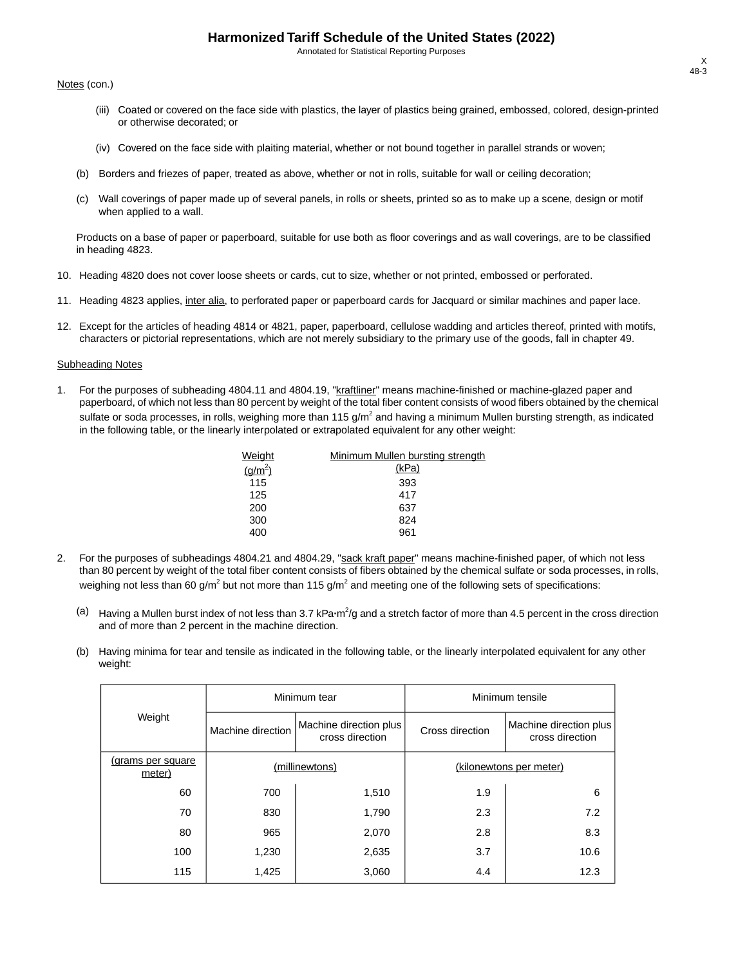Annotated for Statistical Reporting Purposes

Notes (con.)

- (iii) Coated or covered on the face side with plastics, the layer of plastics being grained, embossed, colored, design-printed or otherwise decorated; or
- (iv) Covered on the face side with plaiting material, whether or not bound together in parallel strands or woven;
- (b) Borders and friezes of paper, treated as above, whether or not in rolls, suitable for wall or ceiling decoration;
- (c) Wall coverings of paper made up of several panels, in rolls or sheets, printed so as to make up a scene, design or motif when applied to a wall.

Products on a base of paper or paperboard, suitable for use both as floor coverings and as wall coverings, are to be classified in heading 4823.

- 10. Heading 4820 does not cover loose sheets or cards, cut to size, whether or not printed, embossed or perforated.
- 11. Heading 4823 applies, inter alia, to perforated paper or paperboard cards for Jacquard or similar machines and paper lace.
- 12. Except for the articles of heading 4814 or 4821, paper, paperboard, cellulose wadding and articles thereof, printed with motifs, characters or pictorial representations, which are not merely subsidiary to the primary use of the goods, fall in chapter 49.

#### Subheading Notes

1. For the purposes of subheading 4804.11 and 4804.19, "kraftliner" means machine-finished or machine-glazed paper and paperboard, of which not less than 80 percent by weight of the total fiber content consists of wood fibers obtained by the chemical sulfate or soda processes, in rolls, weighing more than 115 g/m<sup>2</sup> and having a minimum Mullen bursting strength, as indicated in the following table, or the linearly interpolated or extrapolated equivalent for any other weight:

| Weight      | Minimum Mullen bursting strength |
|-------------|----------------------------------|
| $(g/m^{2})$ | (kPa)                            |
| 115         | 393                              |
| 125         | 417                              |
| 200         | 637                              |
| 300         | 824                              |
| 400         | 961                              |
|             |                                  |

- 2. For the purposes of subheadings 4804.21 and 4804.29, "sack kraft paper" means machine-finished paper, of which not less than 80 percent by weight of the total fiber content consists of fibers obtained by the chemical sulfate or soda processes, in rolls, weighing not less than 60 g/m<sup>2</sup> but not more than 115 g/m<sup>2</sup> and meeting one of the following sets of specifications:
	- (a) Having a Mullen burst index of not less than 3.7 kPa·m<sup>2</sup>/g and a stretch factor of more than 4.5 percent in the cross direction and of more than 2 percent in the machine direction.
	- (b) Having minima for tear and tensile as indicated in the following table, or the linearly interpolated equivalent for any other weight:

|                                    |                   | Minimum tear                              | Minimum tensile |                                           |  |
|------------------------------------|-------------------|-------------------------------------------|-----------------|-------------------------------------------|--|
| Weight                             | Machine direction | Machine direction plus<br>cross direction | Cross direction | Machine direction plus<br>cross direction |  |
| <u>(grams per square</u><br>meter) |                   | (millinewtons)                            |                 | (kilonewtons per meter)                   |  |
| 60                                 | 700               | 1,510                                     | 1.9             | 6                                         |  |
| 70                                 | 830               | 1,790                                     | 2.3             | 7.2                                       |  |
| 80                                 | 965               | 2,070                                     | 2.8             | 8.3                                       |  |
| 100                                | 1,230             | 2,635                                     | 3.7             | 10.6                                      |  |
| 115                                | 1,425             | 3,060                                     | 4.4             | 12.3                                      |  |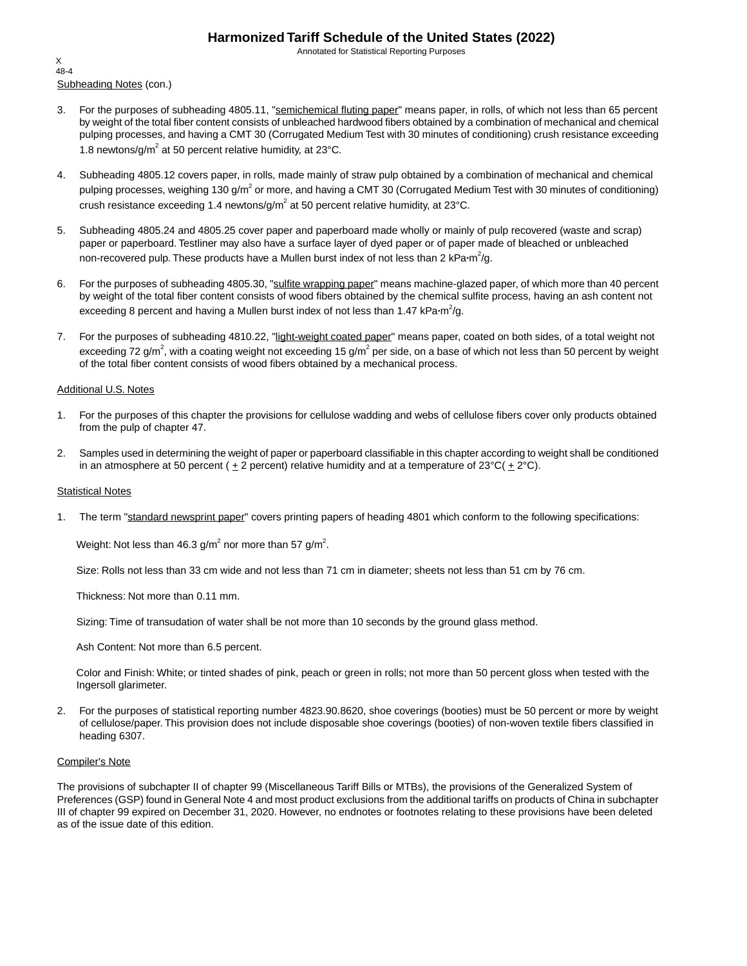Annotated for Statistical Reporting Purposes

Subheading Notes (con.) X 48-4

- 3. For the purposes of subheading 4805.11, "semichemical fluting paper" means paper, in rolls, of which not less than 65 percent by weight of the total fiber content consists of unbleached hardwood fibers obtained by a combination of mechanical and chemical pulping processes, and having a CMT 30 (Corrugated Medium Test with 30 minutes of conditioning) crush resistance exceeding 1.8 newtons/g/m<sup>2</sup> at 50 percent relative humidity, at 23 $^{\circ}$ C.
- 4. Subheading 4805.12 covers paper, in rolls, made mainly of straw pulp obtained by a combination of mechanical and chemical pulping processes, weighing 130 g/m<sup>2</sup> or more, and having a CMT 30 (Corrugated Medium Test with 30 minutes of conditioning) crush resistance exceeding 1.4 newtons/g/m<sup>2</sup> at 50 percent relative humidity, at 23°C.
- 5. Subheading 4805.24 and 4805.25 cover paper and paperboard made wholly or mainly of pulp recovered (waste and scrap) paper or paperboard. Testliner may also have a surface layer of dyed paper or of paper made of bleached or unbleached non-recovered pulp. These products have a Mullen burst index of not less than 2 kPa·m<sup>2</sup>/g.
- 6. For the purposes of subheading 4805.30, "sulfite wrapping paper" means machine-glazed paper, of which more than 40 percent by weight of the total fiber content consists of wood fibers obtained by the chemical sulfite process, having an ash content not exceeding 8 percent and having a Mullen burst index of not less than 1.47 kPa·m<sup>2</sup>/g.
- 7. For the purposes of subheading 4810.22, "light-weight coated paper" means paper, coated on both sides, of a total weight not exceeding 72 g/m<sup>2</sup>, with a coating weight not exceeding 15 g/m<sup>2</sup> per side, on a base of which not less than 50 percent by weight of the total fiber content consists of wood fibers obtained by a mechanical process.

#### Additional U.S. Notes

- 1. For the purposes of this chapter the provisions for cellulose wadding and webs of cellulose fibers cover only products obtained from the pulp of chapter 47.
- 2. Samples used in determining the weight of paper or paperboard classifiable in this chapter according to weight shall be conditioned in an atmosphere at 50 percent ( $\pm 2$  percent) relative humidity and at a temperature of 23°C( $\pm 2$ °C).

#### Statistical Notes

1. The term "standard newsprint paper" covers printing papers of heading 4801 which conform to the following specifications:

Weight: Not less than 46.3 g/m $^2$  nor more than 57 g/m $^2$ .

Size: Rolls not less than 33 cm wide and not less than 71 cm in diameter; sheets not less than 51 cm by 76 cm.

Thickness: Not more than 0.11 mm.

Sizing: Time of transudation of water shall be not more than 10 seconds by the ground glass method.

Ash Content: Not more than 6.5 percent.

Color and Finish: White; or tinted shades of pink, peach or green in rolls; not more than 50 percent gloss when tested with the Ingersoll glarimeter.

2. For the purposes of statistical reporting number 4823.90.8620, shoe coverings (booties) must be 50 percent or more by weight of cellulose/paper. This provision does not include disposable shoe coverings (booties) of non-woven textile fibers classified in heading 6307.

#### Compiler's Note

The provisions of subchapter II of chapter 99 (Miscellaneous Tariff Bills or MTBs), the provisions of the Generalized System of Preferences (GSP) found in General Note 4 and most product exclusions from the additional tariffs on products of China in subchapter III of chapter 99 expired on December 31, 2020. However, no endnotes or footnotes relating to these provisions have been deleted as of the issue date of this edition.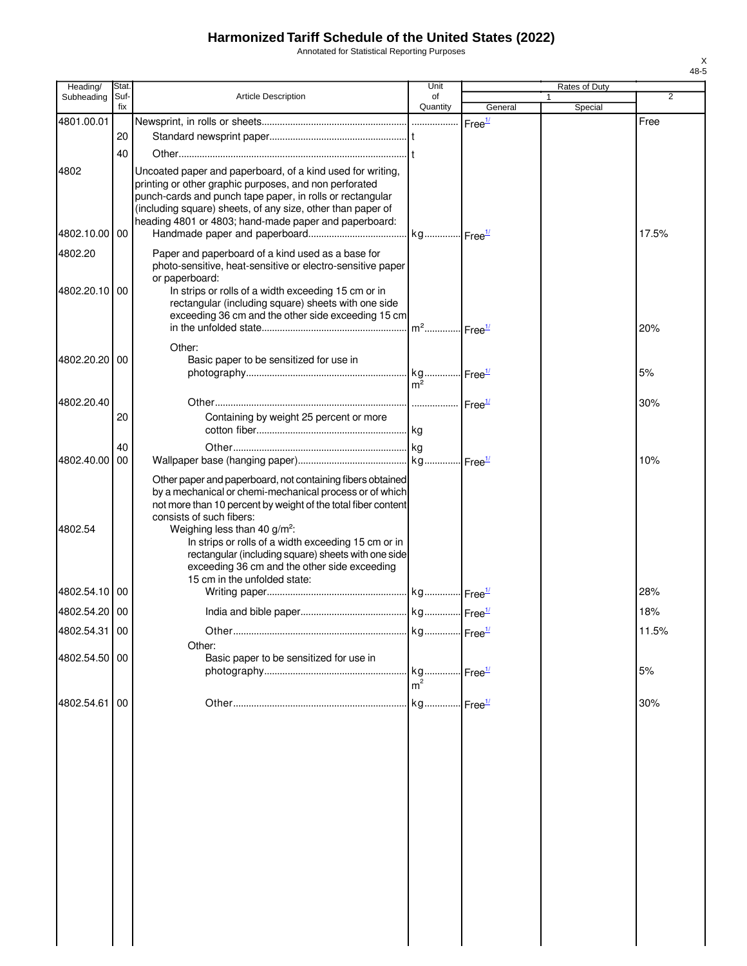Annotated for Statistical Reporting Purposes

| Heading/      | Stat.       |                                                                                                           | Unit                              |                    | Rates of Duty |                |
|---------------|-------------|-----------------------------------------------------------------------------------------------------------|-----------------------------------|--------------------|---------------|----------------|
| Subheading    | Suf-<br>fix | Article Description                                                                                       | of<br>Quantity                    | General            | Special       | $\overline{2}$ |
| 4801.00.01    |             |                                                                                                           |                                   | Free <sup>1/</sup> |               | Free           |
|               | 20          |                                                                                                           |                                   |                    |               |                |
|               | 40          |                                                                                                           |                                   |                    |               |                |
| 4802          |             | Uncoated paper and paperboard, of a kind used for writing,                                                |                                   |                    |               |                |
|               |             | printing or other graphic purposes, and non perforated                                                    |                                   |                    |               |                |
|               |             | punch-cards and punch tape paper, in rolls or rectangular                                                 |                                   |                    |               |                |
|               |             | (including square) sheets, of any size, other than paper of                                               |                                   |                    |               |                |
| 4802.10.00 00 |             | heading 4801 or 4803; hand-made paper and paperboard:                                                     |                                   |                    |               | 17.5%          |
| 4802.20       |             | Paper and paperboard of a kind used as a base for                                                         |                                   |                    |               |                |
|               |             | photo-sensitive, heat-sensitive or electro-sensitive paper                                                |                                   |                    |               |                |
|               |             | or paperboard:                                                                                            |                                   |                    |               |                |
| 4802.20.10    | 00          | In strips or rolls of a width exceeding 15 cm or in                                                       |                                   |                    |               |                |
|               |             | rectangular (including square) sheets with one side<br>exceeding 36 cm and the other side exceeding 15 cm |                                   |                    |               |                |
|               |             |                                                                                                           | m <sup>2</sup> Free <sup>1/</sup> |                    |               | 20%            |
|               |             | Other:                                                                                                    |                                   |                    |               |                |
| 4802.20.20    | 00          | Basic paper to be sensitized for use in                                                                   |                                   |                    |               |                |
|               |             |                                                                                                           |                                   |                    |               | 5%             |
|               |             |                                                                                                           | $m^2$                             |                    |               |                |
| 4802.20.40    |             |                                                                                                           |                                   |                    |               | 30%            |
|               | 20          | Containing by weight 25 percent or more                                                                   |                                   |                    |               |                |
|               | 40          |                                                                                                           |                                   |                    |               |                |
| 4802.40.00    | 00          |                                                                                                           |                                   |                    |               | 10%            |
|               |             | Other paper and paperboard, not containing fibers obtained                                                |                                   |                    |               |                |
|               |             | by a mechanical or chemi-mechanical process or of which                                                   |                                   |                    |               |                |
|               |             | not more than 10 percent by weight of the total fiber content                                             |                                   |                    |               |                |
| 4802.54       |             | consists of such fibers:                                                                                  |                                   |                    |               |                |
|               |             | Weighing less than 40 g/m <sup>2</sup> :<br>In strips or rolls of a width exceeding 15 cm or in           |                                   |                    |               |                |
|               |             | rectangular (including square) sheets with one side                                                       |                                   |                    |               |                |
|               |             | exceeding 36 cm and the other side exceeding                                                              |                                   |                    |               |                |
| 4802.54.10    | 00          | 15 cm in the unfolded state:                                                                              |                                   |                    |               | 28%            |
| 4802.54.20 00 |             |                                                                                                           |                                   |                    |               | 18%            |
|               |             |                                                                                                           |                                   |                    |               |                |
| 4802.54.31 00 |             |                                                                                                           | . kg Free <sup>1/</sup>           |                    |               | 11.5%          |
| 4802.54.50 00 |             | Other:<br>Basic paper to be sensitized for use in                                                         |                                   |                    |               |                |
|               |             |                                                                                                           |                                   |                    |               | 5%             |
|               |             |                                                                                                           | m <sup>2</sup>                    |                    |               |                |
| 4802.54.61    | 00          |                                                                                                           |                                   |                    |               | 30%            |
|               |             |                                                                                                           |                                   |                    |               |                |
|               |             |                                                                                                           |                                   |                    |               |                |
|               |             |                                                                                                           |                                   |                    |               |                |
|               |             |                                                                                                           |                                   |                    |               |                |
|               |             |                                                                                                           |                                   |                    |               |                |
|               |             |                                                                                                           |                                   |                    |               |                |
|               |             |                                                                                                           |                                   |                    |               |                |
|               |             |                                                                                                           |                                   |                    |               |                |
|               |             |                                                                                                           |                                   |                    |               |                |
|               |             |                                                                                                           |                                   |                    |               |                |
|               |             |                                                                                                           |                                   |                    |               |                |
|               |             |                                                                                                           |                                   |                    |               |                |
|               |             |                                                                                                           |                                   |                    |               |                |
|               |             |                                                                                                           |                                   |                    |               |                |
|               |             |                                                                                                           |                                   |                    |               |                |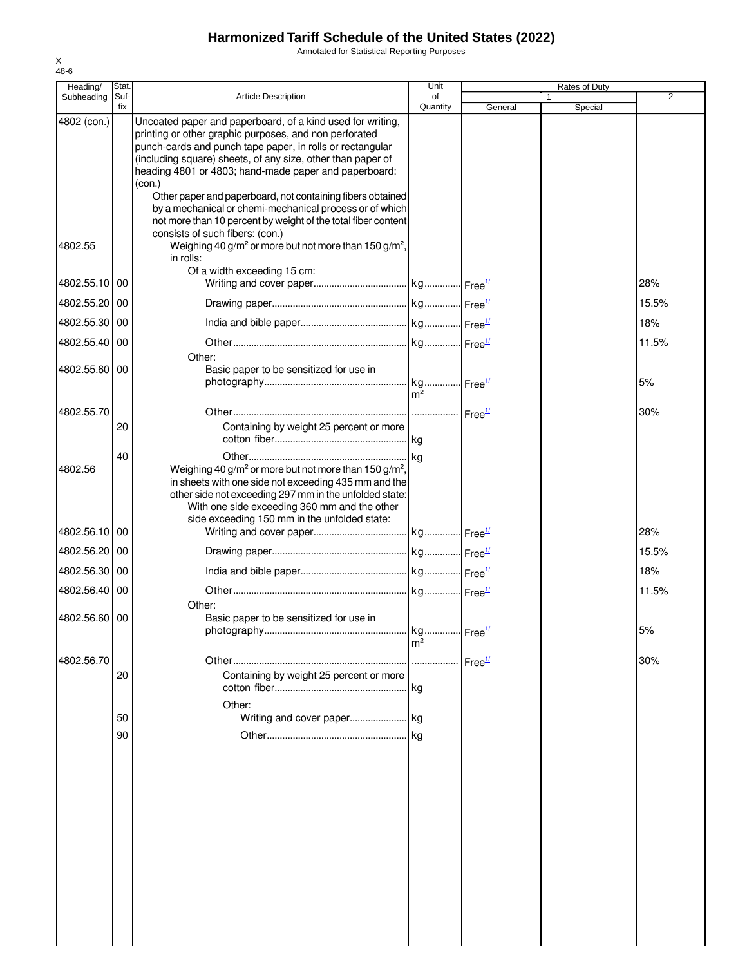Annotated for Statistical Reporting Purposes

| Heading/      | Stat.       |                                                                                                                                                                                                                                                                                                                                                                                                                                                                                                               | Unit           |         | Rates of Duty           |                |
|---------------|-------------|---------------------------------------------------------------------------------------------------------------------------------------------------------------------------------------------------------------------------------------------------------------------------------------------------------------------------------------------------------------------------------------------------------------------------------------------------------------------------------------------------------------|----------------|---------|-------------------------|----------------|
| Subheading    | Suf-<br>fix | <b>Article Description</b>                                                                                                                                                                                                                                                                                                                                                                                                                                                                                    | of<br>Quantity | General | $\mathbf{1}$<br>Special | $\overline{2}$ |
| 4802 (con.)   |             | Uncoated paper and paperboard, of a kind used for writing,<br>printing or other graphic purposes, and non perforated<br>punch-cards and punch tape paper, in rolls or rectangular<br>(including square) sheets, of any size, other than paper of<br>heading 4801 or 4803; hand-made paper and paperboard:<br>(con.)<br>Other paper and paperboard, not containing fibers obtained<br>by a mechanical or chemi-mechanical process or of which<br>not more than 10 percent by weight of the total fiber content |                |         |                         |                |
| 4802.55       |             | consists of such fibers: (con.)<br>Weighing 40 g/m <sup>2</sup> or more but not more than 150 g/m <sup>2</sup> ,<br>in rolls:                                                                                                                                                                                                                                                                                                                                                                                 |                |         |                         |                |
| 4802.55.10 00 |             | Of a width exceeding 15 cm:                                                                                                                                                                                                                                                                                                                                                                                                                                                                                   |                |         |                         | 28%            |
| 4802.55.20 00 |             |                                                                                                                                                                                                                                                                                                                                                                                                                                                                                                               |                |         |                         | 15.5%          |
| 4802.55.30 00 |             |                                                                                                                                                                                                                                                                                                                                                                                                                                                                                                               |                |         |                         | 18%            |
| 4802.55.40 00 |             |                                                                                                                                                                                                                                                                                                                                                                                                                                                                                                               |                |         |                         | 11.5%          |
| 4802.55.60 00 |             | Other:<br>Basic paper to be sensitized for use in                                                                                                                                                                                                                                                                                                                                                                                                                                                             |                |         |                         | 5%             |
| 4802.55.70    | 20          | Containing by weight 25 percent or more                                                                                                                                                                                                                                                                                                                                                                                                                                                                       | m <sup>2</sup> |         |                         | 30%            |
| 4802.56       | 40          | Weighing 40 g/m <sup>2</sup> or more but not more than 150 g/m <sup>2</sup> ,<br>in sheets with one side not exceeding 435 mm and the<br>other side not exceeding 297 mm in the unfolded state:<br>With one side exceeding 360 mm and the other                                                                                                                                                                                                                                                               |                |         |                         |                |
| 4802.56.10 00 |             | side exceeding 150 mm in the unfolded state:                                                                                                                                                                                                                                                                                                                                                                                                                                                                  |                |         |                         | 28%            |
| 4802.56.20 00 |             |                                                                                                                                                                                                                                                                                                                                                                                                                                                                                                               |                |         |                         | 15.5%          |
| 4802.56.30 00 |             |                                                                                                                                                                                                                                                                                                                                                                                                                                                                                                               |                |         |                         | 18%            |
| 4802.56.40 00 |             |                                                                                                                                                                                                                                                                                                                                                                                                                                                                                                               |                |         |                         | 11.5%          |
| 4802.56.60 00 |             | Other:<br>Basic paper to be sensitized for use in                                                                                                                                                                                                                                                                                                                                                                                                                                                             |                |         |                         | 5%             |
| 4802.56.70    | 20          | Containing by weight 25 percent or more                                                                                                                                                                                                                                                                                                                                                                                                                                                                       | m <sup>2</sup> |         |                         | 30%            |
|               | 50          | Other:                                                                                                                                                                                                                                                                                                                                                                                                                                                                                                        |                |         |                         |                |
|               | 90          |                                                                                                                                                                                                                                                                                                                                                                                                                                                                                                               |                |         |                         |                |
|               |             |                                                                                                                                                                                                                                                                                                                                                                                                                                                                                                               |                |         |                         |                |
|               |             |                                                                                                                                                                                                                                                                                                                                                                                                                                                                                                               |                |         |                         |                |
|               |             |                                                                                                                                                                                                                                                                                                                                                                                                                                                                                                               |                |         |                         |                |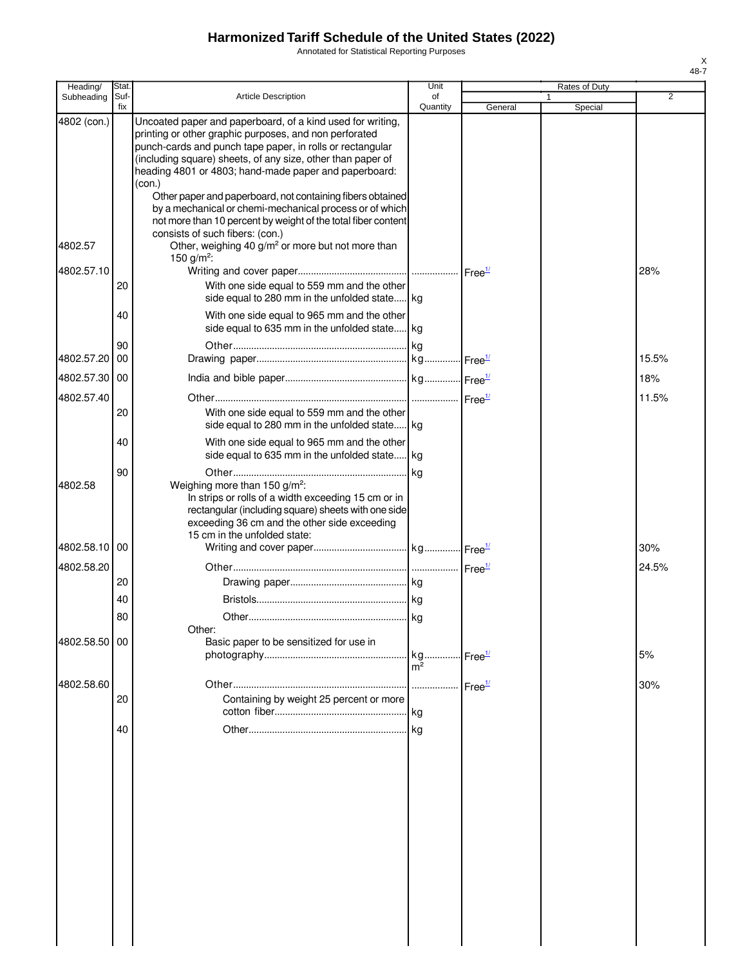Annotated for Statistical Reporting Purposes

| Heading/      | Stat        |                                                                                                                                                                                                                                                                                                                     | Unit           |                            | Rates of Duty |                |
|---------------|-------------|---------------------------------------------------------------------------------------------------------------------------------------------------------------------------------------------------------------------------------------------------------------------------------------------------------------------|----------------|----------------------------|---------------|----------------|
| Subheading    | Suf-<br>fix | <b>Article Description</b>                                                                                                                                                                                                                                                                                          | of<br>Quantity | General                    | 1<br>Special  | $\overline{2}$ |
| 4802 (con.)   |             | Uncoated paper and paperboard, of a kind used for writing,<br>printing or other graphic purposes, and non perforated<br>punch-cards and punch tape paper, in rolls or rectangular<br>(including square) sheets, of any size, other than paper of<br>heading 4801 or 4803; hand-made paper and paperboard:<br>(con.) |                |                            |               |                |
| 4802.57       |             | Other paper and paperboard, not containing fibers obtained<br>by a mechanical or chemi-mechanical process or of which<br>not more than 10 percent by weight of the total fiber content<br>consists of such fibers: (con.)<br>Other, weighing 40 g/m <sup>2</sup> or more but not more than                          |                |                            |               |                |
| 4802.57.10    |             | 150 g/m <sup>2</sup> :                                                                                                                                                                                                                                                                                              |                |                            |               | 28%            |
|               | 20          | With one side equal to 559 mm and the other<br>side equal to 280 mm in the unfolded state kg                                                                                                                                                                                                                        |                |                            |               |                |
|               | 40          | With one side equal to 965 mm and the other<br>side equal to 635 mm in the unfolded state kg                                                                                                                                                                                                                        |                |                            |               |                |
| 4802.57.20    | 90<br>00    |                                                                                                                                                                                                                                                                                                                     |                |                            |               | 15.5%          |
| 4802.57.30 00 |             |                                                                                                                                                                                                                                                                                                                     |                |                            |               | 18%            |
| 4802.57.40    |             |                                                                                                                                                                                                                                                                                                                     |                |                            |               | 11.5%          |
|               | 20          | With one side equal to 559 mm and the other<br>side equal to 280 mm in the unfolded state kg                                                                                                                                                                                                                        |                |                            |               |                |
|               | 40<br>90    | With one side equal to 965 mm and the other<br>side equal to 635 mm in the unfolded state kg                                                                                                                                                                                                                        |                |                            |               |                |
| 4802.58       |             | Weighing more than 150 g/m <sup>2</sup> :<br>In strips or rolls of a width exceeding 15 cm or in<br>rectangular (including square) sheets with one side<br>exceeding 36 cm and the other side exceeding<br>15 cm in the unfolded state:                                                                             |                |                            |               |                |
| 4802.58.10    | 00          |                                                                                                                                                                                                                                                                                                                     |                |                            |               | 30%            |
| 4802.58.20    |             |                                                                                                                                                                                                                                                                                                                     |                |                            |               | 24.5%          |
|               | 20          |                                                                                                                                                                                                                                                                                                                     |                |                            |               |                |
|               | 40<br>80    |                                                                                                                                                                                                                                                                                                                     |                |                            |               |                |
| 4802.58.50 00 |             | Other:<br>Basic paper to be sensitized for use in                                                                                                                                                                                                                                                                   |                |                            |               |                |
|               |             |                                                                                                                                                                                                                                                                                                                     | m <sup>2</sup> | $\cdot$ Free $\frac{1}{2}$ |               | 5%             |
| 4802.58.60    |             |                                                                                                                                                                                                                                                                                                                     |                | Free <sup>1/</sup>         |               | 30%            |
|               | 20          | Containing by weight 25 percent or more                                                                                                                                                                                                                                                                             | kg             |                            |               |                |
|               | 40          |                                                                                                                                                                                                                                                                                                                     |                |                            |               |                |
|               |             |                                                                                                                                                                                                                                                                                                                     |                |                            |               |                |
|               |             |                                                                                                                                                                                                                                                                                                                     |                |                            |               |                |
|               |             |                                                                                                                                                                                                                                                                                                                     |                |                            |               |                |
|               |             |                                                                                                                                                                                                                                                                                                                     |                |                            |               |                |
|               |             |                                                                                                                                                                                                                                                                                                                     |                |                            |               |                |
|               |             |                                                                                                                                                                                                                                                                                                                     |                |                            |               |                |
|               |             |                                                                                                                                                                                                                                                                                                                     |                |                            |               |                |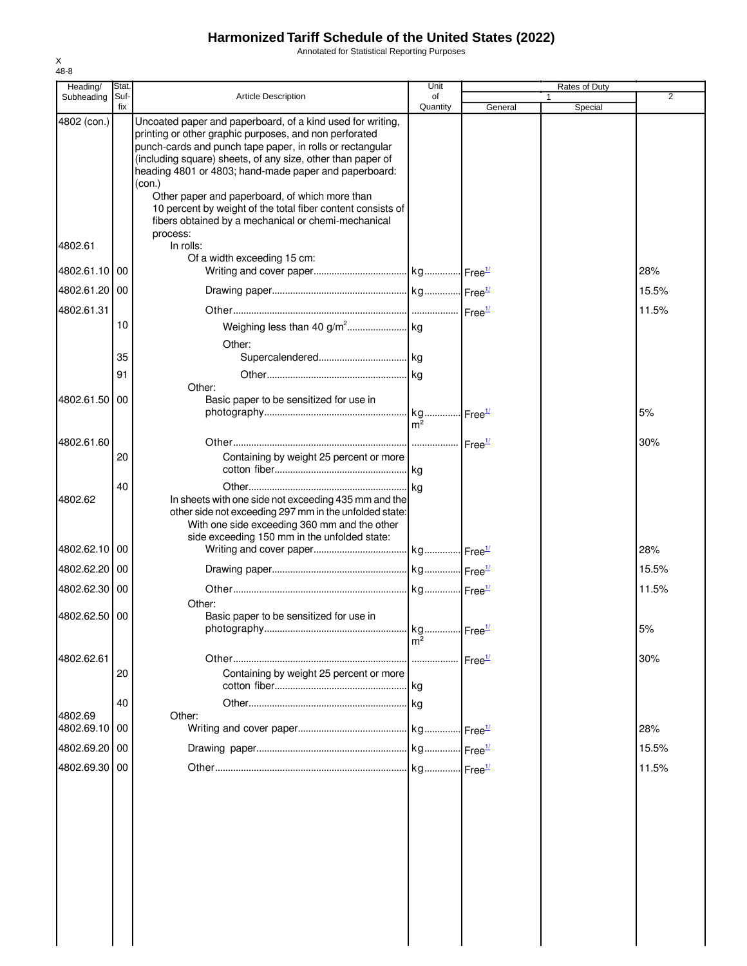Annotated for Statistical Reporting Purposes

| Heading/                 | <b>Stat</b> |                                                                                                                                                                                                                | Unit           |         | Rates of Duty |       |
|--------------------------|-------------|----------------------------------------------------------------------------------------------------------------------------------------------------------------------------------------------------------------|----------------|---------|---------------|-------|
| Subheading               | Suf-<br>fix | <b>Article Description</b>                                                                                                                                                                                     | of<br>Quantity | General | Special       | 2     |
| 4802 (con.)              |             | Uncoated paper and paperboard, of a kind used for writing,<br>printing or other graphic purposes, and non perforated<br>punch-cards and punch tape paper, in rolls or rectangular                              |                |         |               |       |
|                          |             | (including square) sheets, of any size, other than paper of<br>heading 4801 or 4803; hand-made paper and paperboard:<br>(con.)                                                                                 |                |         |               |       |
|                          |             | Other paper and paperboard, of which more than<br>10 percent by weight of the total fiber content consists of<br>fibers obtained by a mechanical or chemi-mechanical<br>process:                               |                |         |               |       |
| 4802.61                  |             | In rolls:<br>Of a width exceeding 15 cm:                                                                                                                                                                       |                |         |               |       |
| 4802.61.10               | 00          |                                                                                                                                                                                                                |                |         |               | 28%   |
| 4802.61.20 00            |             |                                                                                                                                                                                                                |                |         |               | 15.5% |
| 4802.61.31               |             |                                                                                                                                                                                                                |                |         |               | 11.5% |
|                          | 10          | Other:                                                                                                                                                                                                         |                |         |               |       |
|                          | 35          |                                                                                                                                                                                                                |                |         |               |       |
|                          | 91          |                                                                                                                                                                                                                |                |         |               |       |
| 4802.61.50               | 00          | Other:<br>Basic paper to be sensitized for use in                                                                                                                                                              |                |         |               |       |
|                          |             |                                                                                                                                                                                                                | m <sup>2</sup> |         |               | 5%    |
| 4802.61.60               |             |                                                                                                                                                                                                                |                |         |               | 30%   |
|                          | 20          | Containing by weight 25 percent or more                                                                                                                                                                        |                |         |               |       |
|                          | 40          |                                                                                                                                                                                                                |                |         |               |       |
| 4802.62                  |             | In sheets with one side not exceeding 435 mm and the<br>other side not exceeding 297 mm in the unfolded state:<br>With one side exceeding 360 mm and the other<br>side exceeding 150 mm in the unfolded state: |                |         |               |       |
| 4802.62.10               | 00          |                                                                                                                                                                                                                |                |         |               | 28%   |
| 4802.62.20 00            |             |                                                                                                                                                                                                                |                |         |               | 15.5% |
| 4802.62.30 00            |             |                                                                                                                                                                                                                |                |         |               | 11.5% |
| 4802.62.50 00            |             | Other:<br>Basic paper to be sensitized for use in                                                                                                                                                              |                |         |               | 5%    |
|                          |             |                                                                                                                                                                                                                | m <sup>2</sup> |         |               |       |
| 4802.62.61               | 20          | Containing by weight 25 percent or more                                                                                                                                                                        |                |         |               | 30%   |
|                          | 40          |                                                                                                                                                                                                                |                |         |               |       |
| 4802.69<br>4802.69.10 00 |             | Other:                                                                                                                                                                                                         |                |         |               | 28%   |
| 4802.69.20 00            |             |                                                                                                                                                                                                                |                |         |               | 15.5% |
| 4802.69.30 00            |             |                                                                                                                                                                                                                |                |         |               | 11.5% |
|                          |             |                                                                                                                                                                                                                |                |         |               |       |
|                          |             |                                                                                                                                                                                                                |                |         |               |       |
|                          |             |                                                                                                                                                                                                                |                |         |               |       |
|                          |             |                                                                                                                                                                                                                |                |         |               |       |
|                          |             |                                                                                                                                                                                                                |                |         |               |       |
|                          |             |                                                                                                                                                                                                                |                |         |               |       |
|                          |             |                                                                                                                                                                                                                |                |         |               |       |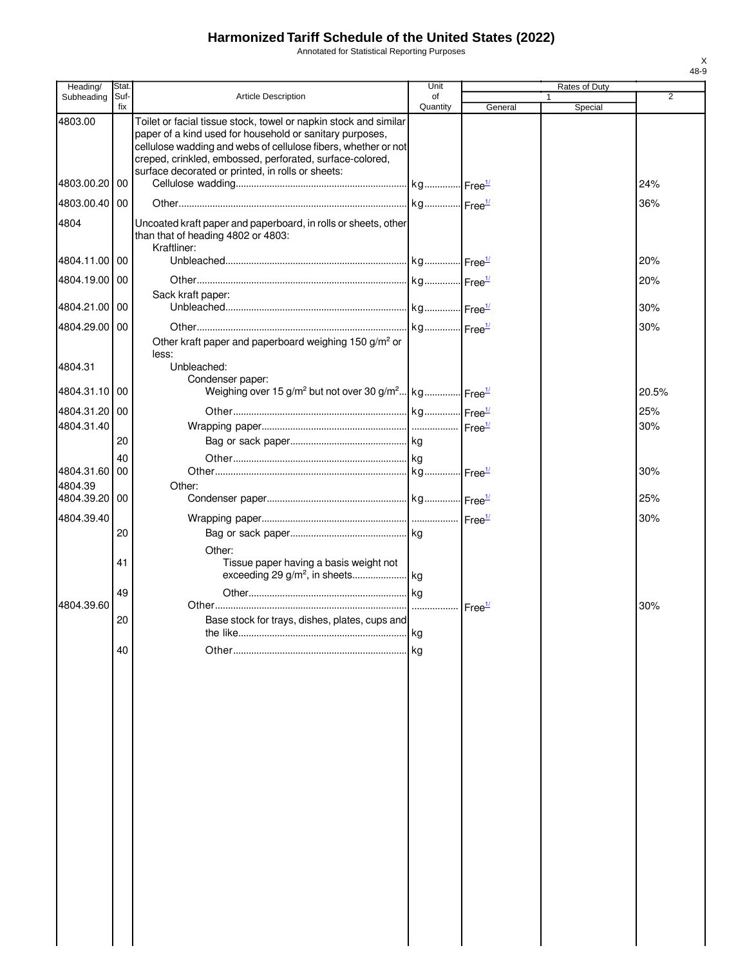Annotated for Statistical Reporting Purposes

| Heading/              | Stat        |                                                                                                                                                                                                                                                                                                                 | Unit           |         | Rates of Duty |       |
|-----------------------|-------------|-----------------------------------------------------------------------------------------------------------------------------------------------------------------------------------------------------------------------------------------------------------------------------------------------------------------|----------------|---------|---------------|-------|
| Subheading            | Suf-<br>fix | <b>Article Description</b>                                                                                                                                                                                                                                                                                      | of<br>Quantity | General | Special       | 2     |
| 4803.00               |             | Toilet or facial tissue stock, towel or napkin stock and similar<br>paper of a kind used for household or sanitary purposes,<br>cellulose wadding and webs of cellulose fibers, whether or not<br>creped, crinkled, embossed, perforated, surface-colored,<br>surface decorated or printed, in rolls or sheets: |                |         |               |       |
| 4803.00.20            | 00          |                                                                                                                                                                                                                                                                                                                 |                |         |               | 24%   |
| 4803.00.40 00         |             |                                                                                                                                                                                                                                                                                                                 |                |         |               | 36%   |
| 4804                  |             | Uncoated kraft paper and paperboard, in rolls or sheets, other<br>than that of heading 4802 or 4803:<br>Kraftliner:                                                                                                                                                                                             |                |         |               |       |
| 4804.11.00 00         |             |                                                                                                                                                                                                                                                                                                                 |                |         |               | 20%   |
| 4804.19.00            | -00         |                                                                                                                                                                                                                                                                                                                 |                |         |               | 20%   |
|                       |             | Sack kraft paper:                                                                                                                                                                                                                                                                                               |                |         |               |       |
| 4804.21.00 00         |             |                                                                                                                                                                                                                                                                                                                 |                |         |               | 30%   |
| 4804.29.00<br>4804.31 | 00          | Other kraft paper and paperboard weighing 150 g/m <sup>2</sup> or<br>less:<br>Unbleached:                                                                                                                                                                                                                       |                |         |               | 30%   |
|                       |             | Condenser paper:                                                                                                                                                                                                                                                                                                |                |         |               |       |
| 4804.31.10 00         |             | Weighing over 15 g/m <sup>2</sup> but not over 30 g/m <sup>2</sup> kg Free <sup>1/</sup>                                                                                                                                                                                                                        |                |         |               | 20.5% |
| 4804.31.20 00         |             |                                                                                                                                                                                                                                                                                                                 |                |         |               | 25%   |
| 4804.31.40            |             |                                                                                                                                                                                                                                                                                                                 |                |         |               | 30%   |
|                       | 20<br>40    |                                                                                                                                                                                                                                                                                                                 |                |         |               |       |
| 4804.31.60            | 00          |                                                                                                                                                                                                                                                                                                                 |                |         |               | 30%   |
| 4804.39               |             | Other:                                                                                                                                                                                                                                                                                                          |                |         |               |       |
| 4804.39.20 00         |             |                                                                                                                                                                                                                                                                                                                 |                |         |               | 25%   |
| 4804.39.40            |             |                                                                                                                                                                                                                                                                                                                 |                |         |               | 30%   |
|                       | 20          |                                                                                                                                                                                                                                                                                                                 |                |         |               |       |
|                       | 41          | Other:<br>Tissue paper having a basis weight not                                                                                                                                                                                                                                                                |                |         |               |       |
|                       | 49          |                                                                                                                                                                                                                                                                                                                 |                |         |               |       |
| 4804.39.60            | 20          | Base stock for trays, dishes, plates, cups and                                                                                                                                                                                                                                                                  | <b>kg</b>      |         |               | 30%   |
|                       | 40          |                                                                                                                                                                                                                                                                                                                 | l ka           |         |               |       |
|                       |             |                                                                                                                                                                                                                                                                                                                 |                |         |               |       |
|                       |             |                                                                                                                                                                                                                                                                                                                 |                |         |               |       |
|                       |             |                                                                                                                                                                                                                                                                                                                 |                |         |               |       |
|                       |             |                                                                                                                                                                                                                                                                                                                 |                |         |               |       |
|                       |             |                                                                                                                                                                                                                                                                                                                 |                |         |               |       |
|                       |             |                                                                                                                                                                                                                                                                                                                 |                |         |               |       |
|                       |             |                                                                                                                                                                                                                                                                                                                 |                |         |               |       |
|                       |             |                                                                                                                                                                                                                                                                                                                 |                |         |               |       |
|                       |             |                                                                                                                                                                                                                                                                                                                 |                |         |               |       |
|                       |             |                                                                                                                                                                                                                                                                                                                 |                |         |               |       |
|                       |             |                                                                                                                                                                                                                                                                                                                 |                |         |               |       |
|                       |             |                                                                                                                                                                                                                                                                                                                 |                |         |               |       |
|                       |             |                                                                                                                                                                                                                                                                                                                 |                |         |               |       |
|                       |             |                                                                                                                                                                                                                                                                                                                 |                |         |               |       |
|                       |             |                                                                                                                                                                                                                                                                                                                 |                |         |               |       |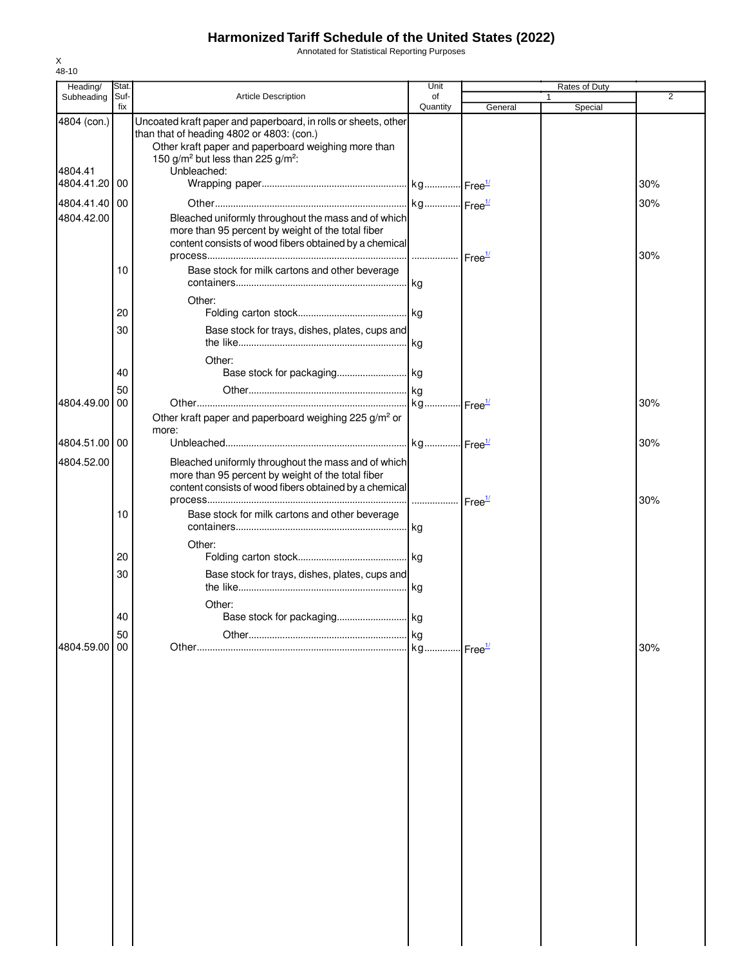Annotated for Statistical Reporting Purposes

| Heading/                             | Stat.       |                                                                                                                                                                                                                                                | Unit                  |         | Rates of Duty           |                |
|--------------------------------------|-------------|------------------------------------------------------------------------------------------------------------------------------------------------------------------------------------------------------------------------------------------------|-----------------------|---------|-------------------------|----------------|
| Subheading                           | Suf-<br>fix | Article Description                                                                                                                                                                                                                            | of<br>Quantity        | General | $\mathbf{1}$<br>Special | $\overline{2}$ |
| 4804 (con.)<br>4804.41<br>4804.41.20 | 00          | Uncoated kraft paper and paperboard, in rolls or sheets, other<br>than that of heading 4802 or 4803: (con.)<br>Other kraft paper and paperboard weighing more than<br>150 g/m <sup>2</sup> but less than 225 g/m <sup>2</sup> :<br>Unbleached: |                       |         |                         | 30%            |
|                                      |             |                                                                                                                                                                                                                                                |                       |         |                         |                |
| 4804.41.40 00<br>4804.42.00          |             | Bleached uniformly throughout the mass and of which<br>more than 95 percent by weight of the total fiber<br>content consists of wood fibers obtained by a chemical                                                                             |                       |         |                         | 30%<br>30%     |
|                                      | 10          | Base stock for milk cartons and other beverage                                                                                                                                                                                                 |                       |         |                         |                |
|                                      | 20          | Other:                                                                                                                                                                                                                                         |                       |         |                         |                |
|                                      | 30          | Base stock for trays, dishes, plates, cups and                                                                                                                                                                                                 |                       |         |                         |                |
|                                      |             | Other:                                                                                                                                                                                                                                         |                       |         |                         |                |
|                                      | 40          |                                                                                                                                                                                                                                                |                       |         |                         |                |
| 4804.49.00 00                        | 50          |                                                                                                                                                                                                                                                |                       |         |                         | 30%            |
|                                      |             | Other kraft paper and paperboard weighing 225 g/m <sup>2</sup> or                                                                                                                                                                              |                       |         |                         |                |
|                                      |             | more:                                                                                                                                                                                                                                          |                       |         |                         |                |
| 4804.51.00 00                        |             |                                                                                                                                                                                                                                                |                       |         |                         | 30%            |
| 4804.52.00                           |             | Bleached uniformly throughout the mass and of which<br>more than 95 percent by weight of the total fiber<br>content consists of wood fibers obtained by a chemical                                                                             |                       |         |                         | 30%            |
|                                      | 10          | Base stock for milk cartons and other beverage                                                                                                                                                                                                 |                       |         |                         |                |
|                                      |             | Other:                                                                                                                                                                                                                                         |                       |         |                         |                |
|                                      | 20          |                                                                                                                                                                                                                                                |                       |         |                         |                |
|                                      | 30          | Base stock for trays, dishes, plates, cups and                                                                                                                                                                                                 |                       |         |                         |                |
|                                      | 40          | Other:                                                                                                                                                                                                                                         |                       |         |                         |                |
|                                      | 50          |                                                                                                                                                                                                                                                | kg                    |         |                         |                |
| 4804.59.00                           | 00          |                                                                                                                                                                                                                                                | kg Free <sup>1/</sup> |         |                         | 30%            |
|                                      |             |                                                                                                                                                                                                                                                |                       |         |                         |                |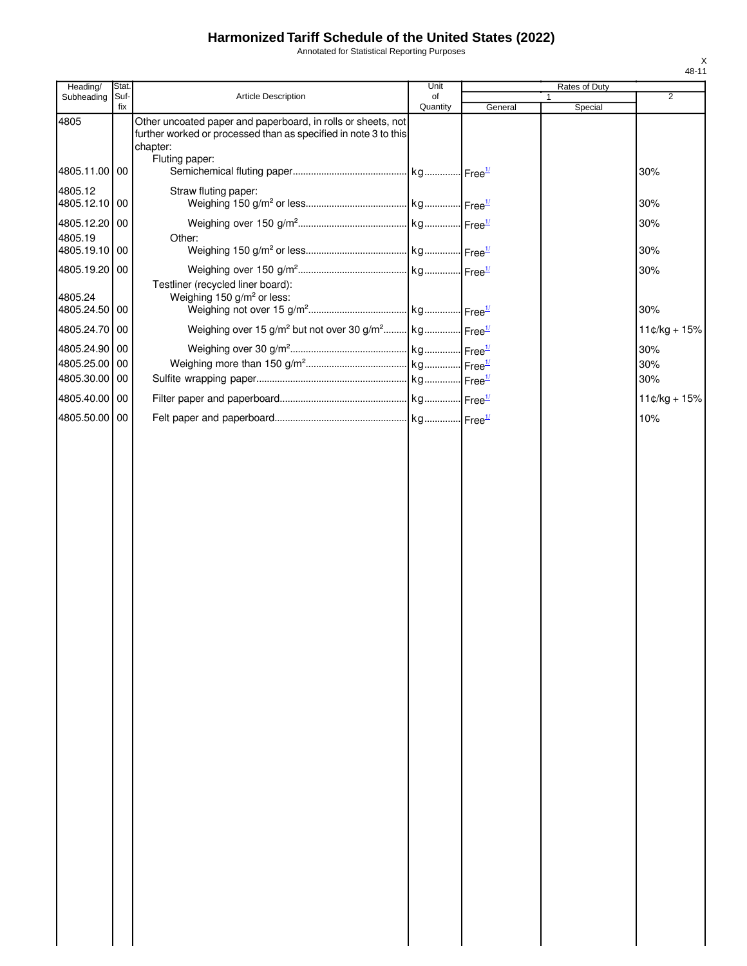Annotated for Statistical Reporting Purposes

| Heading/                       | Stat.       |                                                                                                                                             | Unit           |         | Rates of Duty           |                |
|--------------------------------|-------------|---------------------------------------------------------------------------------------------------------------------------------------------|----------------|---------|-------------------------|----------------|
| Subheading                     | Suf-<br>fix | Article Description                                                                                                                         | of<br>Quantity | General | $\mathbf{1}$<br>Special | 2              |
| 4805                           |             | Other uncoated paper and paperboard, in rolls or sheets, not<br>further worked or processed than as specified in note 3 to this<br>chapter: |                |         |                         |                |
| 4805.11.00 00                  |             | Fluting paper:                                                                                                                              |                |         |                         | 30%            |
| 4805.12<br>4805.12.10 00       |             | Straw fluting paper:                                                                                                                        |                |         |                         | 30%            |
| 4805.12.20 00                  |             |                                                                                                                                             |                |         |                         | 30%            |
| 4805.19<br>4805.19.10 00       |             | Other:                                                                                                                                      |                |         |                         | 30%            |
| 4805.19.20 00<br>4805.24       |             | Testliner (recycled liner board):<br>Weighing 150 g/m <sup>2</sup> or less:                                                                 |                |         |                         | 30%            |
| 4805.24.50 00                  |             |                                                                                                                                             |                |         |                         | 30%            |
| 4805.24.70 00<br>4805.24.90 00 |             | Weighing over 15 g/m <sup>2</sup> but not over 30 g/m <sup>2</sup> kg Free <sup>1/</sup>                                                    |                |         |                         | $11¢/kg + 15%$ |
| 4805.25.00 00                  |             |                                                                                                                                             |                |         |                         | 30%<br>30%     |
| 4805.30.00 00                  |             |                                                                                                                                             |                |         |                         | 30%            |
| 4805.40.00 00                  |             |                                                                                                                                             |                |         |                         | $11¢/kg + 15%$ |
| 4805.50.00 00                  |             |                                                                                                                                             |                |         |                         | 10%            |
|                                |             |                                                                                                                                             |                |         |                         |                |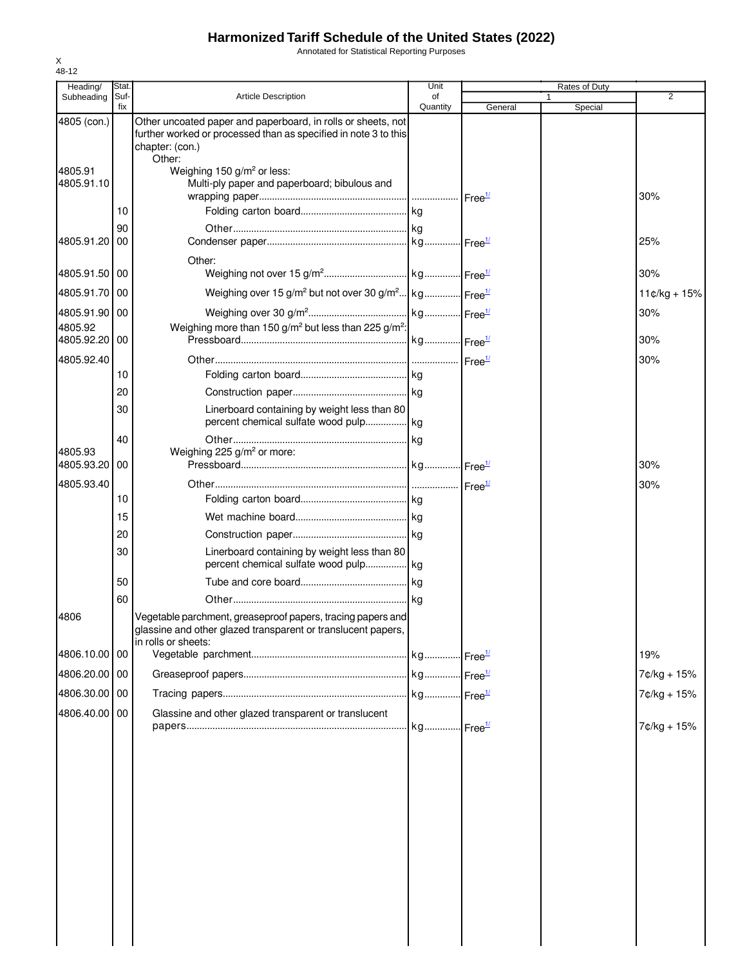Annotated for Statistical Reporting Purposes

| Heading/                 | Stat.       |                                                                                                                                                              | Unit           |         | Rates of Duty |                |
|--------------------------|-------------|--------------------------------------------------------------------------------------------------------------------------------------------------------------|----------------|---------|---------------|----------------|
| Subheading               | Suf-<br>fix | <b>Article Description</b>                                                                                                                                   | of<br>Quantity | General | 1<br>Special  | $\overline{2}$ |
| 4805 (con.)              |             | Other uncoated paper and paperboard, in rolls or sheets, not<br>further worked or processed than as specified in note 3 to this<br>chapter: (con.)<br>Other: |                |         |               |                |
| 4805.91<br>4805.91.10    |             | Weighing 150 g/m <sup>2</sup> or less:<br>Multi-ply paper and paperboard; bibulous and                                                                       |                |         |               | 30%            |
|                          | 10          |                                                                                                                                                              |                |         |               |                |
| 4805.91.20               | 90<br>00    |                                                                                                                                                              |                |         |               | 25%            |
| 4805.91.50               | 00          | Other:                                                                                                                                                       |                |         |               | 30%            |
| 4805.91.70 00            |             | Weighing over 15 g/m <sup>2</sup> but not over 30 g/m <sup>2</sup> kg Free <sup>1/</sup>                                                                     |                |         |               | $11¢/kg + 15%$ |
| 4805.91.90 00            |             |                                                                                                                                                              |                |         |               | 30%            |
| 4805.92<br>4805.92.20 00 |             | Weighing more than 150 g/m <sup>2</sup> but less than 225 g/m <sup>2</sup> :                                                                                 |                |         |               | 30%            |
| 4805.92.40               |             |                                                                                                                                                              |                |         |               | 30%            |
|                          | 10          |                                                                                                                                                              |                |         |               |                |
|                          | 20          |                                                                                                                                                              |                |         |               |                |
|                          | 30          | Linerboard containing by weight less than 80                                                                                                                 |                |         |               |                |
|                          | 40          |                                                                                                                                                              |                |         |               |                |
| 4805.93<br>4805.93.20    | 00          | Weighing 225 g/m <sup>2</sup> or more:                                                                                                                       |                |         |               | 30%            |
| 4805.93.40               |             |                                                                                                                                                              |                |         |               | 30%            |
|                          | 10          |                                                                                                                                                              |                |         |               |                |
|                          | 15          |                                                                                                                                                              |                |         |               |                |
|                          | 20          |                                                                                                                                                              |                |         |               |                |
|                          | 30          | Linerboard containing by weight less than 80                                                                                                                 |                |         |               |                |
|                          | 50          |                                                                                                                                                              |                |         |               |                |
|                          | 60          |                                                                                                                                                              |                |         |               |                |
| 4806                     |             | Vegetable parchment, greaseproof papers, tracing papers and<br>glassine and other glazed transparent or translucent papers,<br>in rolls or sheets:           |                |         |               |                |
| 4806.10.00 00            |             |                                                                                                                                                              |                |         |               | 19%            |
| 4806.20.00 00            |             |                                                                                                                                                              |                |         |               | 7¢/kg + 15%    |
| 4806.30.00 00            |             |                                                                                                                                                              |                |         |               | 7¢/kg + 15%    |
| 4806.40.00               | 00          | Glassine and other glazed transparent or translucent                                                                                                         |                |         |               | 7¢/kg + 15%    |
|                          |             |                                                                                                                                                              |                |         |               |                |
|                          |             |                                                                                                                                                              |                |         |               |                |
|                          |             |                                                                                                                                                              |                |         |               |                |
|                          |             |                                                                                                                                                              |                |         |               |                |
|                          |             |                                                                                                                                                              |                |         |               |                |
|                          |             |                                                                                                                                                              |                |         |               |                |
|                          |             |                                                                                                                                                              |                |         |               |                |
|                          |             |                                                                                                                                                              |                |         |               |                |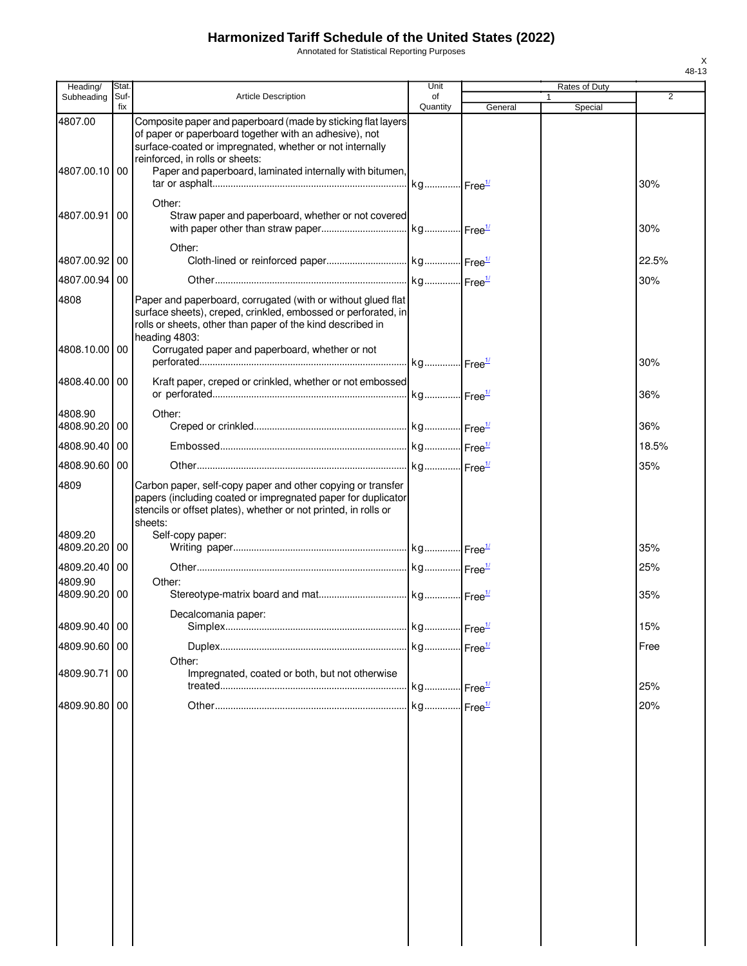Annotated for Statistical Reporting Purposes

| Heading/                 | Stat.       |                                                                                                                                                                                                                       | Unit           |         | Rates of Duty |         |                |
|--------------------------|-------------|-----------------------------------------------------------------------------------------------------------------------------------------------------------------------------------------------------------------------|----------------|---------|---------------|---------|----------------|
| Subheading               | Suf-<br>fix | <b>Article Description</b>                                                                                                                                                                                            | of<br>Quantity | General | 1             | Special | $\overline{2}$ |
| 4807.00                  |             | Composite paper and paperboard (made by sticking flat layers<br>of paper or paperboard together with an adhesive), not<br>surface-coated or impregnated, whether or not internally<br>reinforced, in rolls or sheets: |                |         |               |         |                |
| 4807.00.10 00            |             | Paper and paperboard, laminated internally with bitumen,                                                                                                                                                              |                |         |               |         | 30%            |
| 4807.00.91               | 00          | Other:<br>Straw paper and paperboard, whether or not covered                                                                                                                                                          |                |         |               |         | 30%            |
| 4807.00.92 00            |             | Other:                                                                                                                                                                                                                |                |         |               |         | 22.5%          |
| 4807.00.94 00            |             |                                                                                                                                                                                                                       |                |         |               |         | 30%            |
| 4808                     |             | Paper and paperboard, corrugated (with or without glued flat<br>surface sheets), creped, crinkled, embossed or perforated, in<br>rolls or sheets, other than paper of the kind described in<br>heading 4803:          |                |         |               |         |                |
| 4808.10.00 00            |             | Corrugated paper and paperboard, whether or not                                                                                                                                                                       |                |         |               |         | 30%            |
| 4808.40.00 00            |             | Kraft paper, creped or crinkled, whether or not embossed                                                                                                                                                              |                |         |               |         | 36%            |
| 4808.90                  |             | Other:                                                                                                                                                                                                                |                |         |               |         |                |
| 4808.90.20 00            |             |                                                                                                                                                                                                                       |                |         |               |         | 36%            |
| 4808.90.40               | 00          |                                                                                                                                                                                                                       |                |         |               |         | 18.5%          |
| 4808.90.60 00            |             |                                                                                                                                                                                                                       |                |         |               |         | 35%            |
| 4809                     |             | Carbon paper, self-copy paper and other copying or transfer<br>papers (including coated or impregnated paper for duplicator<br>stencils or offset plates), whether or not printed, in rolls or<br>sheets:             |                |         |               |         |                |
| 4809.20<br>4809.20.20    | 00          | Self-copy paper:                                                                                                                                                                                                      |                |         |               |         | 35%            |
| 4809.20.40 00            |             |                                                                                                                                                                                                                       |                |         |               |         | 25%            |
| 4809.90<br>4809.90.20 00 |             | Other:                                                                                                                                                                                                                |                |         |               |         | 35%            |
|                          |             | Decalcomania paper:                                                                                                                                                                                                   |                |         |               |         |                |
| 4809.90.40 00            |             |                                                                                                                                                                                                                       |                |         |               |         | 15%            |
| 4809.90.60 00            |             |                                                                                                                                                                                                                       |                |         |               |         | Free           |
| 4809.90.71               | 00          | Other:<br>Impregnated, coated or both, but not otherwise                                                                                                                                                              |                |         |               |         |                |
|                          |             |                                                                                                                                                                                                                       |                |         |               |         | 25%            |
| 4809.90.80 00            |             |                                                                                                                                                                                                                       |                |         |               |         | 20%            |
|                          |             |                                                                                                                                                                                                                       |                |         |               |         |                |
|                          |             |                                                                                                                                                                                                                       |                |         |               |         |                |
|                          |             |                                                                                                                                                                                                                       |                |         |               |         |                |
|                          |             |                                                                                                                                                                                                                       |                |         |               |         |                |
|                          |             |                                                                                                                                                                                                                       |                |         |               |         |                |
|                          |             |                                                                                                                                                                                                                       |                |         |               |         |                |
|                          |             |                                                                                                                                                                                                                       |                |         |               |         |                |
|                          |             |                                                                                                                                                                                                                       |                |         |               |         |                |
|                          |             |                                                                                                                                                                                                                       |                |         |               |         |                |
|                          |             |                                                                                                                                                                                                                       |                |         |               |         |                |
|                          |             |                                                                                                                                                                                                                       |                |         |               |         |                |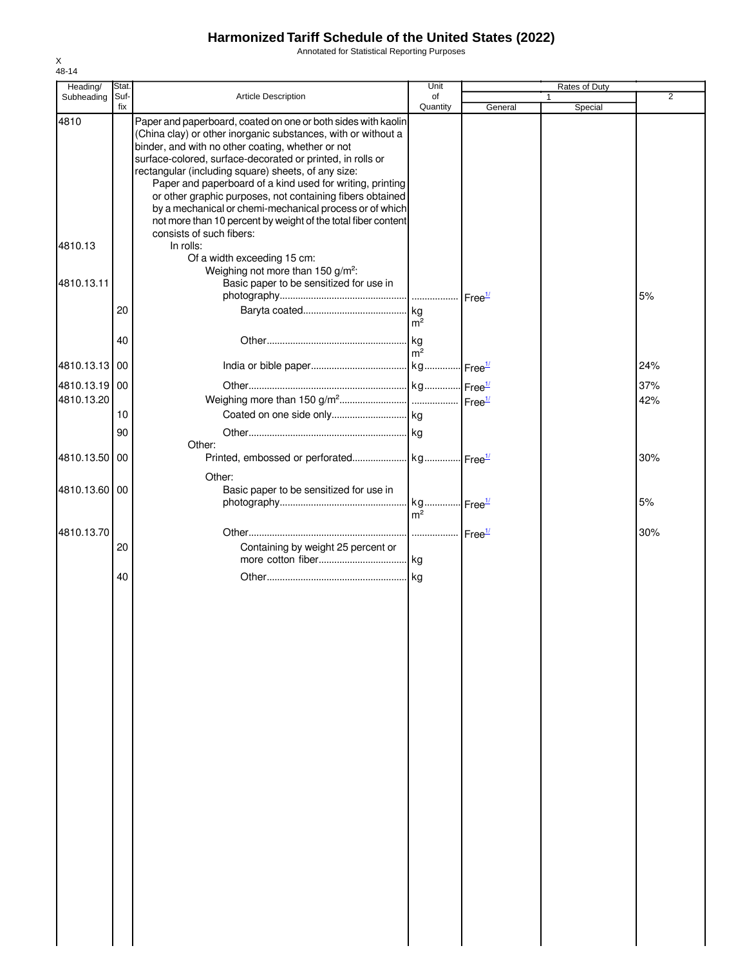Annotated for Statistical Reporting Purposes

| Heading/      | Stat.       |                                                                                                                                                                                                                                                                                                                                                                                                                                                                                                                                                                                            | Unit                   |         | Rates of Duty |                |
|---------------|-------------|--------------------------------------------------------------------------------------------------------------------------------------------------------------------------------------------------------------------------------------------------------------------------------------------------------------------------------------------------------------------------------------------------------------------------------------------------------------------------------------------------------------------------------------------------------------------------------------------|------------------------|---------|---------------|----------------|
| Subheading    | Suf-<br>fix | Article Description                                                                                                                                                                                                                                                                                                                                                                                                                                                                                                                                                                        | of<br>Quantity         | General | 1<br>Special  | $\overline{2}$ |
| 4810          |             | Paper and paperboard, coated on one or both sides with kaolin<br>(China clay) or other inorganic substances, with or without a<br>binder, and with no other coating, whether or not<br>surface-colored, surface-decorated or printed, in rolls or<br>rectangular (including square) sheets, of any size:<br>Paper and paperboard of a kind used for writing, printing<br>or other graphic purposes, not containing fibers obtained<br>by a mechanical or chemi-mechanical process or of which<br>not more than 10 percent by weight of the total fiber content<br>consists of such fibers: |                        |         |               |                |
| 4810.13       |             | In rolls:<br>Of a width exceeding 15 cm:<br>Weighing not more than 150 g/m <sup>2</sup> :                                                                                                                                                                                                                                                                                                                                                                                                                                                                                                  |                        |         |               |                |
| 4810.13.11    |             | Basic paper to be sensitized for use in                                                                                                                                                                                                                                                                                                                                                                                                                                                                                                                                                    |                        |         |               | 5%             |
|               | 20          |                                                                                                                                                                                                                                                                                                                                                                                                                                                                                                                                                                                            | m <sup>2</sup>         |         |               |                |
|               | 40          |                                                                                                                                                                                                                                                                                                                                                                                                                                                                                                                                                                                            | . kg<br>m <sup>2</sup> |         |               |                |
| 4810.13.13 00 |             |                                                                                                                                                                                                                                                                                                                                                                                                                                                                                                                                                                                            |                        |         |               | 24%            |
| 4810.13.19 00 |             |                                                                                                                                                                                                                                                                                                                                                                                                                                                                                                                                                                                            |                        |         |               | 37%            |
| 4810.13.20    |             |                                                                                                                                                                                                                                                                                                                                                                                                                                                                                                                                                                                            |                        |         |               | 42%            |
|               | 10          |                                                                                                                                                                                                                                                                                                                                                                                                                                                                                                                                                                                            |                        |         |               |                |
|               | 90          | Other:                                                                                                                                                                                                                                                                                                                                                                                                                                                                                                                                                                                     |                        |         |               |                |
| 4810.13.50    | 00          | Other:                                                                                                                                                                                                                                                                                                                                                                                                                                                                                                                                                                                     |                        |         |               | 30%            |
| 4810.13.60 00 |             | Basic paper to be sensitized for use in                                                                                                                                                                                                                                                                                                                                                                                                                                                                                                                                                    |                        |         |               | 5%             |
|               |             |                                                                                                                                                                                                                                                                                                                                                                                                                                                                                                                                                                                            | $m^2$                  |         |               |                |
| 4810.13.70    | 20          | Containing by weight 25 percent or                                                                                                                                                                                                                                                                                                                                                                                                                                                                                                                                                         |                        |         |               | 30%            |
|               | 40          |                                                                                                                                                                                                                                                                                                                                                                                                                                                                                                                                                                                            |                        |         |               |                |
|               |             |                                                                                                                                                                                                                                                                                                                                                                                                                                                                                                                                                                                            |                        |         |               |                |
|               |             |                                                                                                                                                                                                                                                                                                                                                                                                                                                                                                                                                                                            |                        |         |               |                |
|               |             |                                                                                                                                                                                                                                                                                                                                                                                                                                                                                                                                                                                            |                        |         |               |                |
|               |             |                                                                                                                                                                                                                                                                                                                                                                                                                                                                                                                                                                                            |                        |         |               |                |
|               |             |                                                                                                                                                                                                                                                                                                                                                                                                                                                                                                                                                                                            |                        |         |               |                |
|               |             |                                                                                                                                                                                                                                                                                                                                                                                                                                                                                                                                                                                            |                        |         |               |                |
|               |             |                                                                                                                                                                                                                                                                                                                                                                                                                                                                                                                                                                                            |                        |         |               |                |
|               |             |                                                                                                                                                                                                                                                                                                                                                                                                                                                                                                                                                                                            |                        |         |               |                |
|               |             |                                                                                                                                                                                                                                                                                                                                                                                                                                                                                                                                                                                            |                        |         |               |                |
|               |             |                                                                                                                                                                                                                                                                                                                                                                                                                                                                                                                                                                                            |                        |         |               |                |
|               |             |                                                                                                                                                                                                                                                                                                                                                                                                                                                                                                                                                                                            |                        |         |               |                |
|               |             |                                                                                                                                                                                                                                                                                                                                                                                                                                                                                                                                                                                            |                        |         |               |                |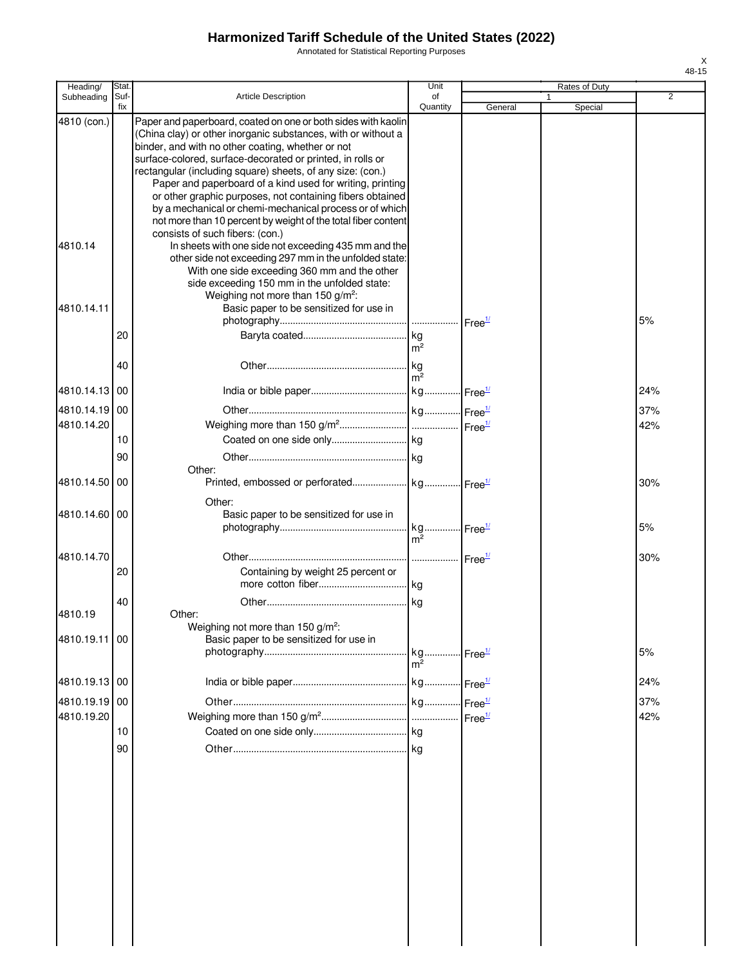Annotated for Statistical Reporting Purposes

| Heading/                 | Stat.       |                                                                                                                                                                                                                                                   | Unit           |         | Rates of Duty |                |
|--------------------------|-------------|---------------------------------------------------------------------------------------------------------------------------------------------------------------------------------------------------------------------------------------------------|----------------|---------|---------------|----------------|
| Subheading               | Suf-<br>fix | <b>Article Description</b>                                                                                                                                                                                                                        | of<br>Quantity | General | Special       | $\overline{2}$ |
| 4810 (con.)              |             | Paper and paperboard, coated on one or both sides with kaolin<br>(China clay) or other inorganic substances, with or without a<br>binder, and with no other coating, whether or not<br>surface-colored, surface-decorated or printed, in rolls or |                |         |               |                |
|                          |             | rectangular (including square) sheets, of any size: (con.)<br>Paper and paperboard of a kind used for writing, printing<br>or other graphic purposes, not containing fibers obtained<br>by a mechanical or chemi-mechanical process or of which   |                |         |               |                |
|                          |             | not more than 10 percent by weight of the total fiber content                                                                                                                                                                                     |                |         |               |                |
| 4810.14                  |             | consists of such fibers: (con.)<br>In sheets with one side not exceeding 435 mm and the<br>other side not exceeding 297 mm in the unfolded state:<br>With one side exceeding 360 mm and the other                                                 |                |         |               |                |
|                          |             | side exceeding 150 mm in the unfolded state:<br>Weighing not more than 150 $g/m^2$ :                                                                                                                                                              |                |         |               |                |
| 4810.14.11               |             | Basic paper to be sensitized for use in                                                                                                                                                                                                           |                |         |               | 5%             |
|                          | 20          |                                                                                                                                                                                                                                                   | m <sup>2</sup> |         |               |                |
|                          | 40          |                                                                                                                                                                                                                                                   | m <sup>2</sup> |         |               |                |
| 4810.14.13 00            |             |                                                                                                                                                                                                                                                   |                |         |               | 24%            |
| 4810.14.19               | 00          |                                                                                                                                                                                                                                                   |                |         |               | 37%            |
| 4810.14.20               |             |                                                                                                                                                                                                                                                   |                |         |               | 42%            |
|                          | 10          |                                                                                                                                                                                                                                                   |                |         |               |                |
|                          | 90          | Other:                                                                                                                                                                                                                                            |                |         |               |                |
| 4810.14.50               | 00          |                                                                                                                                                                                                                                                   |                |         |               | 30%            |
|                          |             | Other:                                                                                                                                                                                                                                            |                |         |               |                |
| 4810.14.60 00            |             | Basic paper to be sensitized for use in                                                                                                                                                                                                           | m <sup>2</sup> |         |               | 5%             |
| 4810.14.70               |             |                                                                                                                                                                                                                                                   |                |         |               | 30%            |
|                          | 20          | Containing by weight 25 percent or                                                                                                                                                                                                                |                |         |               |                |
|                          | 40          |                                                                                                                                                                                                                                                   |                |         |               |                |
| 4810.19<br>4810.19.11 00 |             | Other:<br>Weighing not more than 150 g/m <sup>2</sup> :<br>Basic paper to be sensitized for use in                                                                                                                                                |                |         |               |                |
|                          |             |                                                                                                                                                                                                                                                   | m <sup>2</sup> |         |               | 5%             |
| 4810.19.13 00            |             |                                                                                                                                                                                                                                                   |                |         |               | 24%            |
| 4810.19.19               | 00          |                                                                                                                                                                                                                                                   |                |         |               | 37%            |
| 4810.19.20               | 10          |                                                                                                                                                                                                                                                   |                |         |               | 42%            |
|                          | 90          |                                                                                                                                                                                                                                                   |                |         |               |                |
|                          |             |                                                                                                                                                                                                                                                   |                |         |               |                |
|                          |             |                                                                                                                                                                                                                                                   |                |         |               |                |
|                          |             |                                                                                                                                                                                                                                                   |                |         |               |                |
|                          |             |                                                                                                                                                                                                                                                   |                |         |               |                |
|                          |             |                                                                                                                                                                                                                                                   |                |         |               |                |
|                          |             |                                                                                                                                                                                                                                                   |                |         |               |                |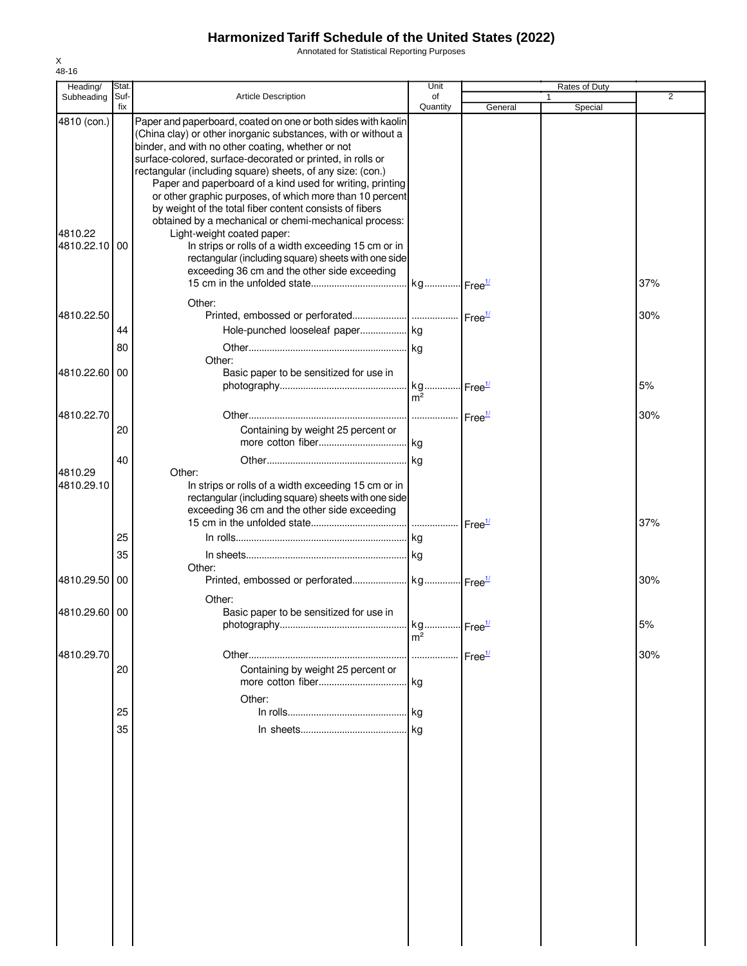Annotated for Statistical Reporting Purposes

| Heading/      | Stat. |                                                               | Unit                  |                            | Rates of Duty |                |
|---------------|-------|---------------------------------------------------------------|-----------------------|----------------------------|---------------|----------------|
| Subheading    | Suf-  | <b>Article Description</b>                                    | of                    |                            |               | $\overline{2}$ |
|               | fix   |                                                               | Quantity              | General                    | Special       |                |
| 4810 (con.)   |       | Paper and paperboard, coated on one or both sides with kaolin |                       |                            |               |                |
|               |       | (China clay) or other inorganic substances, with or without a |                       |                            |               |                |
|               |       | binder, and with no other coating, whether or not             |                       |                            |               |                |
|               |       | surface-colored, surface-decorated or printed, in rolls or    |                       |                            |               |                |
|               |       | rectangular (including square) sheets, of any size: (con.)    |                       |                            |               |                |
|               |       | Paper and paperboard of a kind used for writing, printing     |                       |                            |               |                |
|               |       | or other graphic purposes, of which more than 10 percent      |                       |                            |               |                |
|               |       | by weight of the total fiber content consists of fibers       |                       |                            |               |                |
|               |       | obtained by a mechanical or chemi-mechanical process:         |                       |                            |               |                |
| 4810.22       |       | Light-weight coated paper:                                    |                       |                            |               |                |
| 4810.22.10    | 00    | In strips or rolls of a width exceeding 15 cm or in           |                       |                            |               |                |
|               |       | rectangular (including square) sheets with one side           |                       |                            |               |                |
|               |       | exceeding 36 cm and the other side exceeding                  |                       |                            |               |                |
|               |       |                                                               |                       |                            |               | 37%            |
|               |       | Other:                                                        |                       |                            |               |                |
| 4810.22.50    |       |                                                               |                       |                            |               | 30%            |
|               |       |                                                               |                       |                            |               |                |
|               | 44    | Hole-punched looseleaf paper kg                               |                       |                            |               |                |
|               | 80    |                                                               |                       |                            |               |                |
|               |       | Other:                                                        |                       |                            |               |                |
| 4810.22.60    | 00    | Basic paper to be sensitized for use in                       |                       |                            |               |                |
|               |       |                                                               |                       | $\cdot$ Free $\frac{1}{2}$ |               | 5%             |
|               |       |                                                               | m <sup>2</sup>        |                            |               |                |
| 4810.22.70    |       |                                                               |                       |                            |               | 30%            |
|               |       |                                                               |                       |                            |               |                |
|               | 20    | Containing by weight 25 percent or                            |                       |                            |               |                |
|               |       |                                                               |                       |                            |               |                |
|               | 40    |                                                               |                       |                            |               |                |
| 4810.29       |       | Other:                                                        |                       |                            |               |                |
| 4810.29.10    |       | In strips or rolls of a width exceeding 15 cm or in           |                       |                            |               |                |
|               |       | rectangular (including square) sheets with one side           |                       |                            |               |                |
|               |       | exceeding 36 cm and the other side exceeding                  |                       |                            |               |                |
|               |       |                                                               |                       |                            |               | 37%            |
|               | 25    |                                                               |                       |                            |               |                |
|               | 35    |                                                               |                       |                            |               |                |
|               |       | Other:                                                        |                       |                            |               |                |
| 4810.29.50    | 00    |                                                               |                       |                            |               | 30%            |
|               |       |                                                               |                       |                            |               |                |
|               |       | Other:                                                        |                       |                            |               |                |
| 4810.29.60 00 |       | Basic paper to be sensitized for use in                       |                       |                            |               |                |
|               |       | photography                                                   | kg Free <sup>1/</sup> |                            |               | 5%             |
|               |       |                                                               | m <sup>2</sup>        |                            |               |                |
| 4810.29.70    |       |                                                               |                       | Free <sup>1/</sup>         |               | 30%            |
|               | 20    | Containing by weight 25 percent or                            |                       |                            |               |                |
|               |       |                                                               |                       |                            |               |                |
|               |       |                                                               | kg                    |                            |               |                |
|               |       | Other:                                                        |                       |                            |               |                |
|               | 25    |                                                               | l kg                  |                            |               |                |
|               | 35    |                                                               | kg                    |                            |               |                |
|               |       |                                                               |                       |                            |               |                |
|               |       |                                                               |                       |                            |               |                |
|               |       |                                                               |                       |                            |               |                |
|               |       |                                                               |                       |                            |               |                |
|               |       |                                                               |                       |                            |               |                |
|               |       |                                                               |                       |                            |               |                |
|               |       |                                                               |                       |                            |               |                |
|               |       |                                                               |                       |                            |               |                |
|               |       |                                                               |                       |                            |               |                |
|               |       |                                                               |                       |                            |               |                |
|               |       |                                                               |                       |                            |               |                |
|               |       |                                                               |                       |                            |               |                |
|               |       |                                                               |                       |                            |               |                |
|               |       |                                                               |                       |                            |               |                |
|               |       |                                                               |                       |                            |               |                |
|               |       |                                                               |                       |                            |               |                |
|               |       |                                                               |                       |                            |               |                |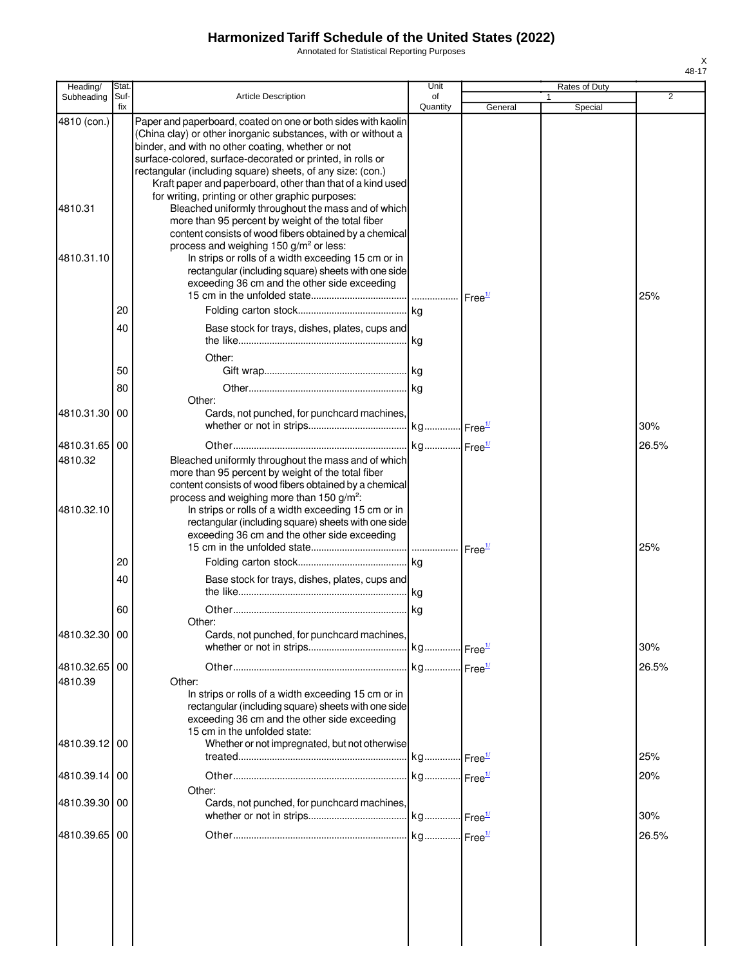Annotated for Statistical Reporting Purposes

| Heading/                 | Stat.       |                                                                                                                                                                                                                                                                                                                                                                                                                                   | Unit           |                    | Rates of Duty |       |
|--------------------------|-------------|-----------------------------------------------------------------------------------------------------------------------------------------------------------------------------------------------------------------------------------------------------------------------------------------------------------------------------------------------------------------------------------------------------------------------------------|----------------|--------------------|---------------|-------|
| Subheading               | Suf-<br>fix | Article Description                                                                                                                                                                                                                                                                                                                                                                                                               | of<br>Quantity | General            | 1<br>Special  | 2     |
| 4810 (con.)              |             | Paper and paperboard, coated on one or both sides with kaolin<br>(China clay) or other inorganic substances, with or without a<br>binder, and with no other coating, whether or not<br>surface-colored, surface-decorated or printed, in rolls or<br>rectangular (including square) sheets, of any size: (con.)<br>Kraft paper and paperboard, other than that of a kind used<br>for writing, printing or other graphic purposes: |                |                    |               |       |
| 4810.31                  |             | Bleached uniformly throughout the mass and of which<br>more than 95 percent by weight of the total fiber<br>content consists of wood fibers obtained by a chemical<br>process and weighing 150 g/m <sup>2</sup> or less:                                                                                                                                                                                                          |                |                    |               |       |
| 4810.31.10               |             | In strips or rolls of a width exceeding 15 cm or in<br>rectangular (including square) sheets with one side<br>exceeding 36 cm and the other side exceeding                                                                                                                                                                                                                                                                        |                |                    |               | 25%   |
|                          | 20          |                                                                                                                                                                                                                                                                                                                                                                                                                                   |                |                    |               |       |
|                          | 40          | Base stock for trays, dishes, plates, cups and                                                                                                                                                                                                                                                                                                                                                                                    |                |                    |               |       |
|                          | 50          | Other:                                                                                                                                                                                                                                                                                                                                                                                                                            |                |                    |               |       |
|                          | 80          | Other:                                                                                                                                                                                                                                                                                                                                                                                                                            |                |                    |               |       |
| 4810.31.30 00            |             | Cards, not punched, for punchcard machines,                                                                                                                                                                                                                                                                                                                                                                                       |                |                    |               | 30%   |
| 4810.31.65 00            |             |                                                                                                                                                                                                                                                                                                                                                                                                                                   |                |                    |               | 26.5% |
| 4810.32                  |             | Bleached uniformly throughout the mass and of which<br>more than 95 percent by weight of the total fiber<br>content consists of wood fibers obtained by a chemical<br>process and weighing more than 150 g/m <sup>2</sup> :                                                                                                                                                                                                       |                |                    |               |       |
| 4810.32.10               |             | In strips or rolls of a width exceeding 15 cm or in<br>rectangular (including square) sheets with one side<br>exceeding 36 cm and the other side exceeding                                                                                                                                                                                                                                                                        |                | Free <sup>1/</sup> |               | 25%   |
|                          | 20          |                                                                                                                                                                                                                                                                                                                                                                                                                                   |                |                    |               |       |
|                          | 40          | Base stock for trays, dishes, plates, cups and                                                                                                                                                                                                                                                                                                                                                                                    |                |                    |               |       |
|                          | 60          | Other:                                                                                                                                                                                                                                                                                                                                                                                                                            |                |                    |               |       |
| 4810.32.30 00            |             | Cards, not punched, for punchcard machines,                                                                                                                                                                                                                                                                                                                                                                                       |                |                    |               | 30%   |
| 4810.32.65 00<br>4810.39 |             | Other:<br>In strips or rolls of a width exceeding 15 cm or in<br>rectangular (including square) sheets with one side<br>exceeding 36 cm and the other side exceeding                                                                                                                                                                                                                                                              |                |                    |               | 26.5% |
| 4810.39.12 00            |             | 15 cm in the unfolded state:<br>Whether or not impregnated, but not otherwise                                                                                                                                                                                                                                                                                                                                                     |                |                    |               | 25%   |
| 4810.39.14 00            |             |                                                                                                                                                                                                                                                                                                                                                                                                                                   |                |                    |               | 20%   |
| 4810.39.30 00            |             | Other:<br>Cards, not punched, for punchcard machines,                                                                                                                                                                                                                                                                                                                                                                             |                |                    |               | 30%   |
| 4810.39.65 00            |             |                                                                                                                                                                                                                                                                                                                                                                                                                                   |                |                    |               | 26.5% |
|                          |             |                                                                                                                                                                                                                                                                                                                                                                                                                                   |                |                    |               |       |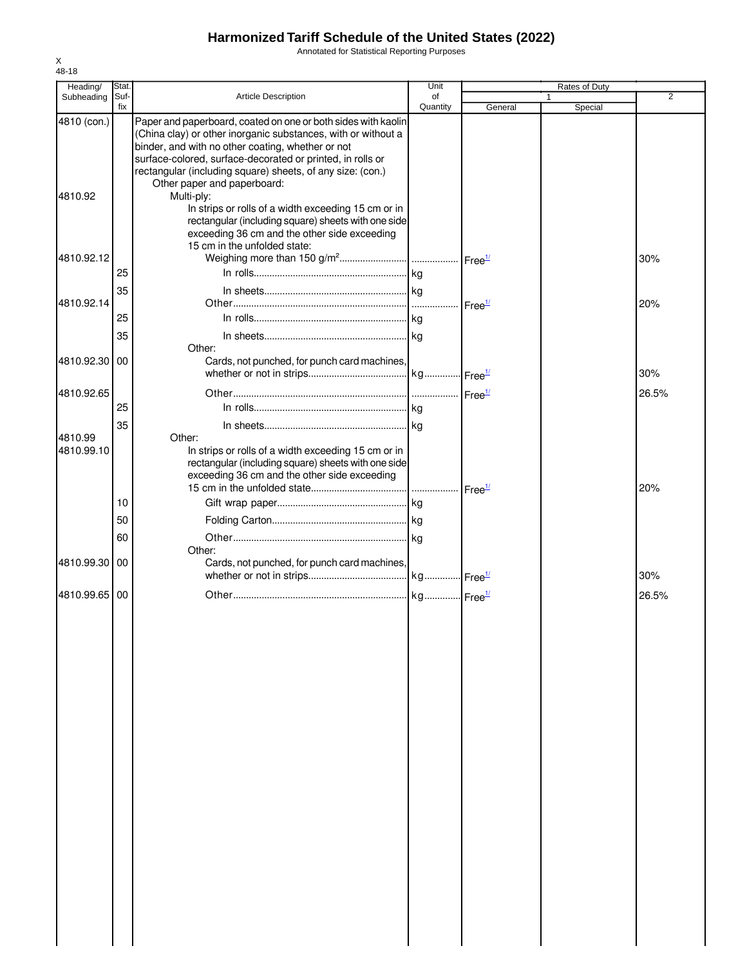Annotated for Statistical Reporting Purposes

| Heading/      | Stat. |                                                               | Unit     |                    | Rates of Duty |                |
|---------------|-------|---------------------------------------------------------------|----------|--------------------|---------------|----------------|
| Subheading    | Suf-  | <b>Article Description</b>                                    | of       |                    |               | $\overline{2}$ |
| 4810 (con.)   | fix   | Paper and paperboard, coated on one or both sides with kaolin | Quantity | General            | Special       |                |
|               |       | (China clay) or other inorganic substances, with or without a |          |                    |               |                |
|               |       | binder, and with no other coating, whether or not             |          |                    |               |                |
|               |       | surface-colored, surface-decorated or printed, in rolls or    |          |                    |               |                |
|               |       | rectangular (including square) sheets, of any size: (con.)    |          |                    |               |                |
| 4810.92       |       | Other paper and paperboard:<br>Multi-ply:                     |          |                    |               |                |
|               |       | In strips or rolls of a width exceeding 15 cm or in           |          |                    |               |                |
|               |       | rectangular (including square) sheets with one side           |          |                    |               |                |
|               |       | exceeding 36 cm and the other side exceeding                  |          |                    |               |                |
|               |       | 15 cm in the unfolded state:                                  |          |                    |               |                |
| 4810.92.12    |       |                                                               |          |                    |               | 30%            |
|               | 25    |                                                               |          |                    |               |                |
|               | 35    |                                                               |          |                    |               |                |
| 4810.92.14    |       |                                                               |          | Free <sup>1/</sup> |               | 20%            |
|               | 25    |                                                               |          |                    |               |                |
|               | 35    |                                                               |          |                    |               |                |
|               |       | Other:                                                        |          |                    |               |                |
| 4810.92.30    | 00    | Cards, not punched, for punch card machines,                  |          |                    |               |                |
|               |       |                                                               |          |                    |               | 30%            |
| 4810.92.65    |       |                                                               |          |                    |               | 26.5%          |
|               | 25    |                                                               |          |                    |               |                |
|               | 35    |                                                               |          |                    |               |                |
| 4810.99       |       | Other:                                                        |          |                    |               |                |
| 4810.99.10    |       | In strips or rolls of a width exceeding 15 cm or in           |          |                    |               |                |
|               |       | rectangular (including square) sheets with one side           |          |                    |               |                |
|               |       | exceeding 36 cm and the other side exceeding                  |          |                    |               | 20%            |
|               | 10    |                                                               |          |                    |               |                |
|               | 50    |                                                               |          |                    |               |                |
|               |       |                                                               |          |                    |               |                |
|               | 60    | Other:                                                        |          |                    |               |                |
| 4810.99.30    | 00    | Cards, not punched, for punch card machines,                  |          |                    |               |                |
|               |       |                                                               |          |                    |               | 30%            |
| 4810.99.65 00 |       |                                                               |          |                    |               | 26.5%          |
|               |       |                                                               |          |                    |               |                |
|               |       |                                                               |          |                    |               |                |
|               |       |                                                               |          |                    |               |                |
|               |       |                                                               |          |                    |               |                |
|               |       |                                                               |          |                    |               |                |
|               |       |                                                               |          |                    |               |                |
|               |       |                                                               |          |                    |               |                |
|               |       |                                                               |          |                    |               |                |
|               |       |                                                               |          |                    |               |                |
|               |       |                                                               |          |                    |               |                |
|               |       |                                                               |          |                    |               |                |
|               |       |                                                               |          |                    |               |                |
|               |       |                                                               |          |                    |               |                |
|               |       |                                                               |          |                    |               |                |
|               |       |                                                               |          |                    |               |                |
|               |       |                                                               |          |                    |               |                |
|               |       |                                                               |          |                    |               |                |
|               |       |                                                               |          |                    |               |                |
|               |       |                                                               |          |                    |               |                |
|               |       |                                                               |          |                    |               |                |
|               |       |                                                               |          |                    |               |                |
|               |       |                                                               |          |                    |               |                |
|               |       |                                                               |          |                    |               |                |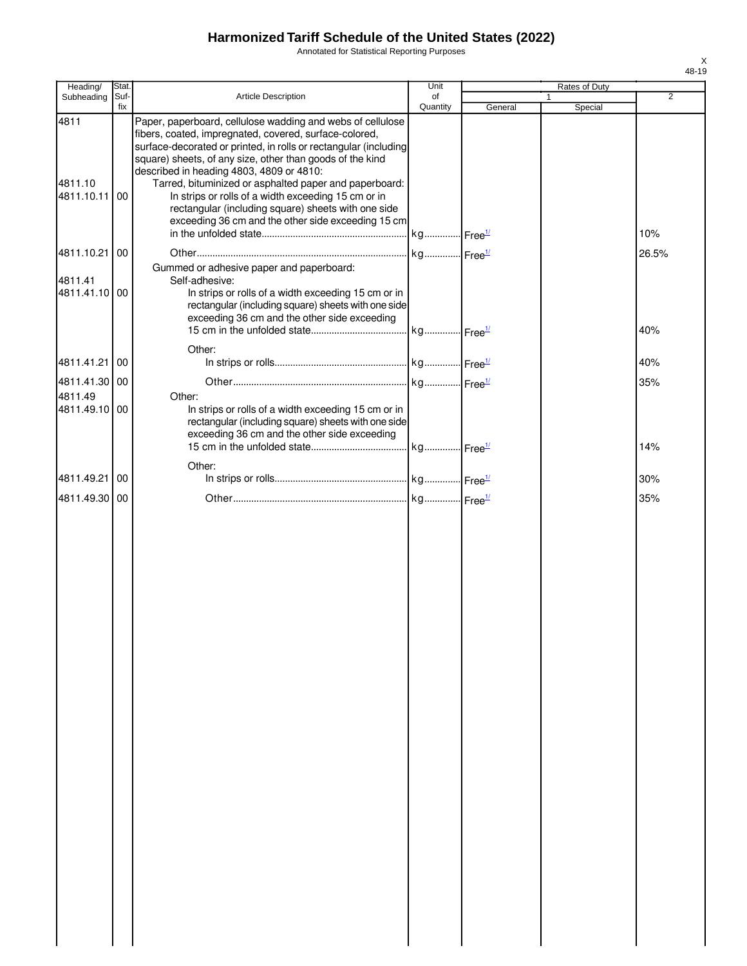Annotated for Statistical Reporting Purposes

| Heading/                                  | Stat.       |                                                                                                                                                                                                                                                                                                                                                                                                                                                                                                                                 | Unit                  |         | Rates of Duty |                |
|-------------------------------------------|-------------|---------------------------------------------------------------------------------------------------------------------------------------------------------------------------------------------------------------------------------------------------------------------------------------------------------------------------------------------------------------------------------------------------------------------------------------------------------------------------------------------------------------------------------|-----------------------|---------|---------------|----------------|
| Subheading                                | Suf-<br>fix | <b>Article Description</b>                                                                                                                                                                                                                                                                                                                                                                                                                                                                                                      | of<br>Quantity        | General | Special       | $\overline{2}$ |
| 4811<br>4811.10<br>4811.10.11             | 00          | Paper, paperboard, cellulose wadding and webs of cellulose<br>fibers, coated, impregnated, covered, surface-colored,<br>surface-decorated or printed, in rolls or rectangular (including<br>square) sheets, of any size, other than goods of the kind<br>described in heading 4803, 4809 or 4810:<br>Tarred, bituminized or asphalted paper and paperboard:<br>In strips or rolls of a width exceeding 15 cm or in<br>rectangular (including square) sheets with one side<br>exceeding 36 cm and the other side exceeding 15 cm |                       |         |               | 10%            |
|                                           |             |                                                                                                                                                                                                                                                                                                                                                                                                                                                                                                                                 |                       |         |               |                |
| 4811.10.21<br>4811.41<br>4811.41.10 00    | 00          | Gummed or adhesive paper and paperboard:<br>Self-adhesive:<br>In strips or rolls of a width exceeding 15 cm or in<br>rectangular (including square) sheets with one side<br>exceeding 36 cm and the other side exceeding                                                                                                                                                                                                                                                                                                        | kg Free <sup>1/</sup> |         |               | 26.5%<br>40%   |
| 4811.41.21                                | 00          | Other:                                                                                                                                                                                                                                                                                                                                                                                                                                                                                                                          |                       |         |               | 40%            |
|                                           |             |                                                                                                                                                                                                                                                                                                                                                                                                                                                                                                                                 |                       |         |               |                |
| 4811.41.30 00<br>4811.49<br>4811.49.10 00 |             | Other:<br>In strips or rolls of a width exceeding 15 cm or in<br>rectangular (including square) sheets with one side<br>exceeding 36 cm and the other side exceeding                                                                                                                                                                                                                                                                                                                                                            |                       |         |               | 35%            |
|                                           |             |                                                                                                                                                                                                                                                                                                                                                                                                                                                                                                                                 |                       |         |               | 14%            |
| 4811.49.21                                | 00          | Other:                                                                                                                                                                                                                                                                                                                                                                                                                                                                                                                          |                       |         |               | 30%            |
| 4811.49.30 00                             |             |                                                                                                                                                                                                                                                                                                                                                                                                                                                                                                                                 |                       |         |               | 35%            |
|                                           |             |                                                                                                                                                                                                                                                                                                                                                                                                                                                                                                                                 |                       |         |               |                |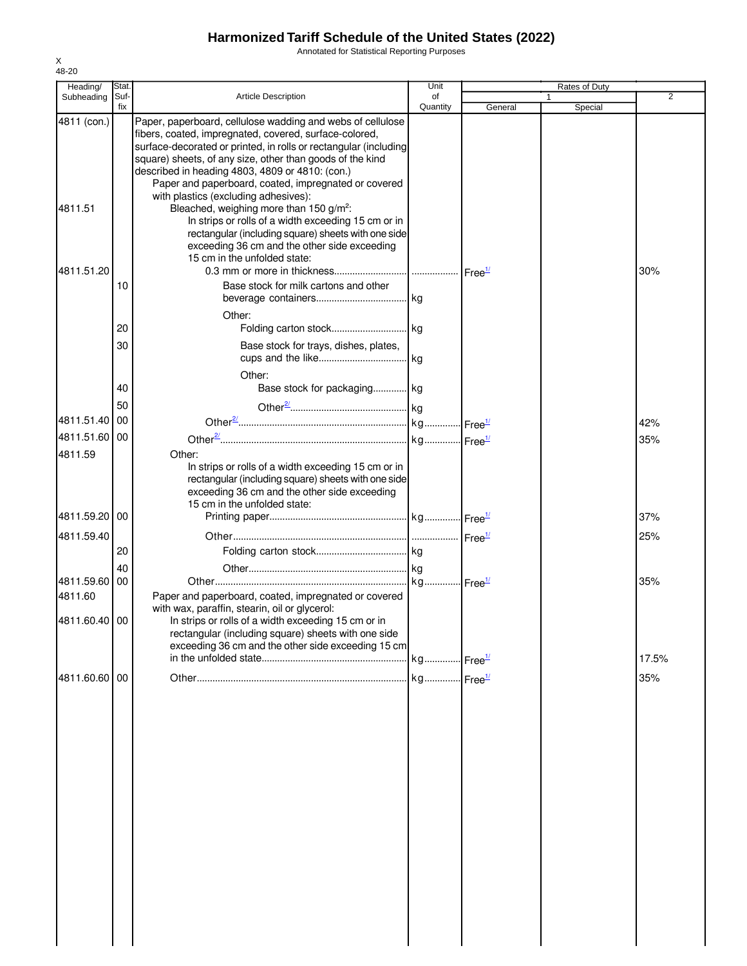Annotated for Statistical Reporting Purposes

| Heading/                 | Stat.       |                                                                                                                                                                                                                                                                                                                                                                  | Unit           |         | Rates of Duty |                |
|--------------------------|-------------|------------------------------------------------------------------------------------------------------------------------------------------------------------------------------------------------------------------------------------------------------------------------------------------------------------------------------------------------------------------|----------------|---------|---------------|----------------|
| Subheading               | Suf-<br>fix | <b>Article Description</b>                                                                                                                                                                                                                                                                                                                                       | of<br>Quantity | General | 1<br>Special  | $\overline{2}$ |
| 4811 (con.)              |             | Paper, paperboard, cellulose wadding and webs of cellulose<br>fibers, coated, impregnated, covered, surface-colored,<br>surface-decorated or printed, in rolls or rectangular (including<br>square) sheets, of any size, other than goods of the kind<br>described in heading 4803, 4809 or 4810: (con.)<br>Paper and paperboard, coated, impregnated or covered |                |         |               |                |
| 4811.51                  |             | with plastics (excluding adhesives):<br>Bleached, weighing more than 150 g/m <sup>2</sup> :<br>In strips or rolls of a width exceeding 15 cm or in<br>rectangular (including square) sheets with one side<br>exceeding 36 cm and the other side exceeding<br>15 cm in the unfolded state:                                                                        |                |         |               |                |
| 4811.51.20               | 10          | Base stock for milk cartons and other                                                                                                                                                                                                                                                                                                                            |                |         |               | 30%            |
|                          | 20          | Other:                                                                                                                                                                                                                                                                                                                                                           |                |         |               |                |
|                          | 30          | Base stock for trays, dishes, plates,<br>Other:                                                                                                                                                                                                                                                                                                                  |                |         |               |                |
|                          | 40<br>50    | Base stock for packaging kg                                                                                                                                                                                                                                                                                                                                      |                |         |               |                |
| 4811.51.40               | 00          |                                                                                                                                                                                                                                                                                                                                                                  |                |         |               | 42%            |
| 4811.51.60 00            |             |                                                                                                                                                                                                                                                                                                                                                                  |                |         |               | 35%            |
| 4811.59                  |             | Other:<br>In strips or rolls of a width exceeding 15 cm or in<br>rectangular (including square) sheets with one side<br>exceeding 36 cm and the other side exceeding<br>15 cm in the unfolded state:                                                                                                                                                             |                |         |               |                |
| 4811.59.20 00            |             |                                                                                                                                                                                                                                                                                                                                                                  |                |         |               | 37%            |
| 4811.59.40               | 20          |                                                                                                                                                                                                                                                                                                                                                                  |                |         |               | 25%            |
| 4811.59.60               | 40<br>00    |                                                                                                                                                                                                                                                                                                                                                                  |                |         |               | 35%            |
| 4811.60<br>4811.60.40 00 |             | Paper and paperboard, coated, impregnated or covered<br>with wax, paraffin, stearin, oil or glycerol:<br>In strips or rolls of a width exceeding 15 cm or in<br>rectangular (including square) sheets with one side<br>exceeding 36 cm and the other side exceeding 15 cm                                                                                        |                |         |               |                |
|                          |             |                                                                                                                                                                                                                                                                                                                                                                  |                |         |               | 17.5%          |
| 4811.60.60 00            |             |                                                                                                                                                                                                                                                                                                                                                                  |                |         |               | 35%            |
|                          |             |                                                                                                                                                                                                                                                                                                                                                                  |                |         |               |                |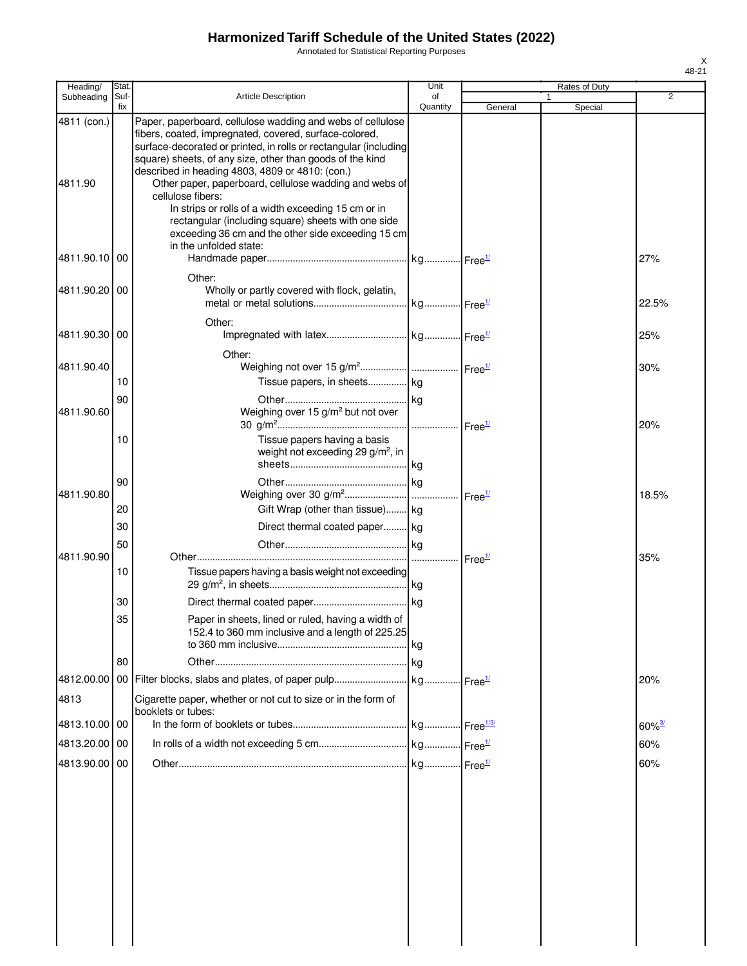Annotated for Statistical Reporting Purposes

| Heading/      | Stat        |                                                                                                                                                                                                                                                       | Unit           |                    | Rates of Duty |                      |
|---------------|-------------|-------------------------------------------------------------------------------------------------------------------------------------------------------------------------------------------------------------------------------------------------------|----------------|--------------------|---------------|----------------------|
| Subheading    | Suf-<br>fix | <b>Article Description</b>                                                                                                                                                                                                                            | of<br>Quantity | General            | 1<br>Special  | $\overline{2}$       |
| 4811 (con.)   |             | Paper, paperboard, cellulose wadding and webs of cellulose<br>fibers, coated, impregnated, covered, surface-colored,<br>surface-decorated or printed, in rolls or rectangular (including<br>square) sheets, of any size, other than goods of the kind |                |                    |               |                      |
| 4811.90       |             | described in heading 4803, 4809 or 4810: (con.)<br>Other paper, paperboard, cellulose wadding and webs of<br>cellulose fibers:<br>In strips or rolls of a width exceeding 15 cm or in                                                                 |                |                    |               |                      |
| 4811.90.10 00 |             | rectangular (including square) sheets with one side<br>exceeding 36 cm and the other side exceeding 15 cm<br>in the unfolded state:                                                                                                                   |                |                    |               | 27%                  |
|               |             | Other:                                                                                                                                                                                                                                                |                |                    |               |                      |
| 4811.90.20100 |             | Wholly or partly covered with flock, gelatin,                                                                                                                                                                                                         |                |                    |               | 22.5%                |
|               |             | Other:                                                                                                                                                                                                                                                |                |                    |               |                      |
| 4811.90.30 00 |             |                                                                                                                                                                                                                                                       |                |                    |               | 25%                  |
| 4811.90.40    |             | Other:                                                                                                                                                                                                                                                |                |                    |               | 30%                  |
|               | 10          | Tissue papers, in sheets kg                                                                                                                                                                                                                           |                |                    |               |                      |
| 4811.90.60    | 90          | Weighing over 15 g/m <sup>2</sup> but not over                                                                                                                                                                                                        |                |                    |               |                      |
|               |             |                                                                                                                                                                                                                                                       |                |                    |               | 20%                  |
|               | 10          | Tissue papers having a basis<br>weight not exceeding 29 g/m <sup>2</sup> , in                                                                                                                                                                         |                |                    |               |                      |
|               |             |                                                                                                                                                                                                                                                       |                |                    |               |                      |
| 4811.90.80    | 90          |                                                                                                                                                                                                                                                       |                | Free <sup>1/</sup> |               | 18.5%                |
|               | 20          | Gift Wrap (other than tissue) kg                                                                                                                                                                                                                      |                |                    |               |                      |
|               | 30          | Direct thermal coated paper kg                                                                                                                                                                                                                        |                |                    |               |                      |
|               | 50          |                                                                                                                                                                                                                                                       |                |                    |               |                      |
| 4811.90.90    |             |                                                                                                                                                                                                                                                       |                |                    |               | 35%                  |
|               | 10          | Tissue papers having a basis weight not exceeding                                                                                                                                                                                                     |                |                    |               |                      |
|               | 30          |                                                                                                                                                                                                                                                       |                |                    |               |                      |
|               | 35          | Paper in sheets, lined or ruled, having a width of<br>152.4 to 360 mm inclusive and a length of 225.25                                                                                                                                                |                |                    |               |                      |
|               |             |                                                                                                                                                                                                                                                       |                |                    |               |                      |
|               | 80          |                                                                                                                                                                                                                                                       |                |                    |               |                      |
| 4812.00.00    |             |                                                                                                                                                                                                                                                       |                |                    |               | 20%                  |
| 4813          |             | Cigarette paper, whether or not cut to size or in the form of<br>booklets or tubes:                                                                                                                                                                   |                |                    |               |                      |
| 4813.10.00 00 |             |                                                                                                                                                                                                                                                       |                |                    |               | $60\%$ <sup>3/</sup> |
| 4813.20.00 00 |             |                                                                                                                                                                                                                                                       |                |                    |               | 60%                  |
| 4813.90.00 00 |             |                                                                                                                                                                                                                                                       |                |                    |               | 60%                  |
|               |             |                                                                                                                                                                                                                                                       |                |                    |               |                      |
|               |             |                                                                                                                                                                                                                                                       |                |                    |               |                      |
|               |             |                                                                                                                                                                                                                                                       |                |                    |               |                      |
|               |             |                                                                                                                                                                                                                                                       |                |                    |               |                      |
|               |             |                                                                                                                                                                                                                                                       |                |                    |               |                      |
|               |             |                                                                                                                                                                                                                                                       |                |                    |               |                      |
|               |             |                                                                                                                                                                                                                                                       |                |                    |               |                      |
|               |             |                                                                                                                                                                                                                                                       |                |                    |               |                      |
|               |             |                                                                                                                                                                                                                                                       |                |                    |               |                      |
|               |             |                                                                                                                                                                                                                                                       |                |                    |               |                      |
|               |             |                                                                                                                                                                                                                                                       |                |                    |               |                      |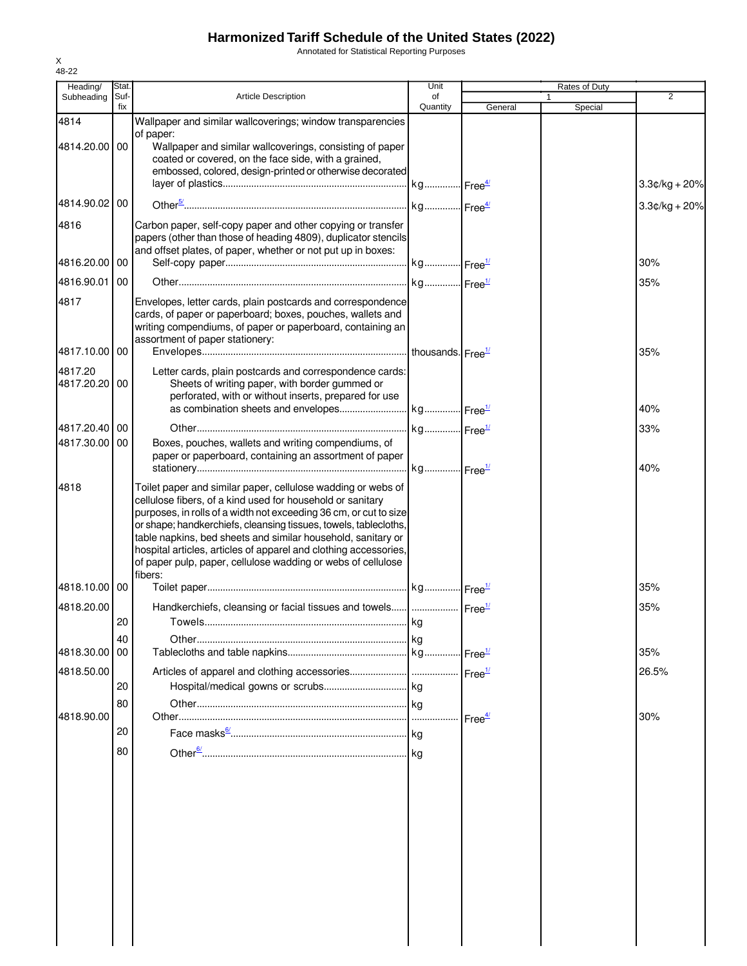Annotated for Statistical Reporting Purposes

| Heading/                       | Stat.       |                                                                                                                                                                                                                                                                                                                                                                                                                                                                                    | Unit           |                    | Rates of Duty |                 |
|--------------------------------|-------------|------------------------------------------------------------------------------------------------------------------------------------------------------------------------------------------------------------------------------------------------------------------------------------------------------------------------------------------------------------------------------------------------------------------------------------------------------------------------------------|----------------|--------------------|---------------|-----------------|
| Subheading                     | Suf-<br>fix | <b>Article Description</b>                                                                                                                                                                                                                                                                                                                                                                                                                                                         | of<br>Quantity | General            | 1<br>Special  | $\overline{2}$  |
| 4814                           |             | Wallpaper and similar wallcoverings; window transparencies                                                                                                                                                                                                                                                                                                                                                                                                                         |                |                    |               |                 |
| 4814.20.00 00                  |             | of paper:<br>Wallpaper and similar wallcoverings, consisting of paper<br>coated or covered, on the face side, with a grained,<br>embossed, colored, design-printed or otherwise decorated                                                                                                                                                                                                                                                                                          |                |                    |               | $3.3¢/kg + 20%$ |
| 4814.90.02 00                  |             |                                                                                                                                                                                                                                                                                                                                                                                                                                                                                    |                |                    |               |                 |
|                                |             |                                                                                                                                                                                                                                                                                                                                                                                                                                                                                    |                |                    |               | $3.3¢/kg + 20%$ |
| 4816<br>4816.20.00 00          |             | Carbon paper, self-copy paper and other copying or transfer<br>papers (other than those of heading 4809), duplicator stencils<br>and offset plates, of paper, whether or not put up in boxes:                                                                                                                                                                                                                                                                                      |                |                    |               | 30%             |
| 4816.90.01                     | 00          |                                                                                                                                                                                                                                                                                                                                                                                                                                                                                    |                |                    |               | 35%             |
|                                |             |                                                                                                                                                                                                                                                                                                                                                                                                                                                                                    |                |                    |               |                 |
| 4817                           |             | Envelopes, letter cards, plain postcards and correspondence<br>cards, of paper or paperboard; boxes, pouches, wallets and<br>writing compendiums, of paper or paperboard, containing an<br>assortment of paper stationery:                                                                                                                                                                                                                                                         |                |                    |               |                 |
| 4817.10.00 00                  |             |                                                                                                                                                                                                                                                                                                                                                                                                                                                                                    |                |                    |               | 35%             |
| 4817.20<br>4817.20.20 00       |             | Letter cards, plain postcards and correspondence cards:<br>Sheets of writing paper, with border gummed or<br>perforated, with or without inserts, prepared for use                                                                                                                                                                                                                                                                                                                 |                |                    |               |                 |
|                                |             |                                                                                                                                                                                                                                                                                                                                                                                                                                                                                    |                |                    |               | 40%             |
| 4817.20.40 00<br>4817.30.00 00 |             | Boxes, pouches, wallets and writing compendiums, of                                                                                                                                                                                                                                                                                                                                                                                                                                |                |                    |               | 33%             |
|                                |             | paper or paperboard, containing an assortment of paper                                                                                                                                                                                                                                                                                                                                                                                                                             |                |                    |               | 40%             |
| 4818                           |             | Toilet paper and similar paper, cellulose wadding or webs of<br>cellulose fibers, of a kind used for household or sanitary<br>purposes, in rolls of a width not exceeding 36 cm, or cut to size<br>or shape; handkerchiefs, cleansing tissues, towels, tablecloths,<br>table napkins, bed sheets and similar household, sanitary or<br>hospital articles, articles of apparel and clothing accessories,<br>of paper pulp, paper, cellulose wadding or webs of cellulose<br>fibers: |                |                    |               |                 |
| 4818.10.00100                  |             |                                                                                                                                                                                                                                                                                                                                                                                                                                                                                    |                |                    |               | 35%             |
| 4818.20.00                     |             | Handkerchiefs, cleansing or facial tissues and towels  Free <sup>1/</sup>                                                                                                                                                                                                                                                                                                                                                                                                          |                |                    |               | 35%             |
|                                | 20          |                                                                                                                                                                                                                                                                                                                                                                                                                                                                                    |                |                    |               |                 |
| 4818.30.00 00                  | 40          |                                                                                                                                                                                                                                                                                                                                                                                                                                                                                    |                |                    |               | 35%             |
|                                |             |                                                                                                                                                                                                                                                                                                                                                                                                                                                                                    |                |                    |               |                 |
| 4818.50.00                     | 20          |                                                                                                                                                                                                                                                                                                                                                                                                                                                                                    |                |                    |               | 26.5%           |
|                                | 80          |                                                                                                                                                                                                                                                                                                                                                                                                                                                                                    |                |                    |               |                 |
| 4818.90.00                     |             |                                                                                                                                                                                                                                                                                                                                                                                                                                                                                    |                | Free <sup>4/</sup> |               | 30%             |
|                                | 20          |                                                                                                                                                                                                                                                                                                                                                                                                                                                                                    |                |                    |               |                 |
|                                | 80          |                                                                                                                                                                                                                                                                                                                                                                                                                                                                                    |                |                    |               |                 |
|                                |             |                                                                                                                                                                                                                                                                                                                                                                                                                                                                                    |                |                    |               |                 |
|                                |             |                                                                                                                                                                                                                                                                                                                                                                                                                                                                                    |                |                    |               |                 |
|                                |             |                                                                                                                                                                                                                                                                                                                                                                                                                                                                                    |                |                    |               |                 |
|                                |             |                                                                                                                                                                                                                                                                                                                                                                                                                                                                                    |                |                    |               |                 |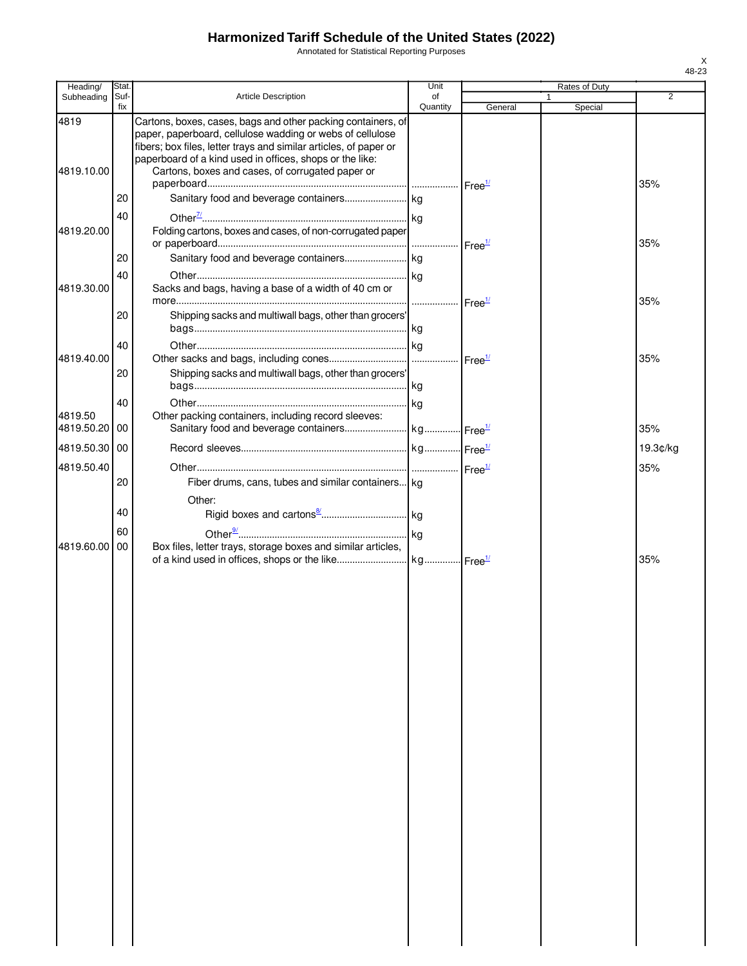Annotated for Statistical Reporting Purposes

| Heading/           | Stat.       |                                                                                                                                                                                                                                                                                                                | Unit                  |                    | Rates of Duty |                |
|--------------------|-------------|----------------------------------------------------------------------------------------------------------------------------------------------------------------------------------------------------------------------------------------------------------------------------------------------------------------|-----------------------|--------------------|---------------|----------------|
| Subheading         | Suf-<br>fix | <b>Article Description</b>                                                                                                                                                                                                                                                                                     | of<br>Quantity        | General            | Special       | $\overline{2}$ |
| 4819<br>4819.10.00 |             | Cartons, boxes, cases, bags and other packing containers, of<br>paper, paperboard, cellulose wadding or webs of cellulose<br>fibers; box files, letter trays and similar articles, of paper or<br>paperboard of a kind used in offices, shops or the like:<br>Cartons, boxes and cases, of corrugated paper or |                       |                    |               | 35%            |
|                    | 20          |                                                                                                                                                                                                                                                                                                                |                       |                    |               |                |
|                    | 40          |                                                                                                                                                                                                                                                                                                                |                       |                    |               |                |
| 4819.20.00         |             | Folding cartons, boxes and cases, of non-corrugated paper                                                                                                                                                                                                                                                      |                       | Free <sup>1/</sup> |               | 35%            |
|                    | 20          |                                                                                                                                                                                                                                                                                                                |                       |                    |               |                |
| 4819.30.00         | 40          | Sacks and bags, having a base of a width of 40 cm or                                                                                                                                                                                                                                                           | Free <sup>1/</sup>    |                    |               | 35%            |
|                    | 20          | Shipping sacks and multiwall bags, other than grocers'                                                                                                                                                                                                                                                         |                       |                    |               |                |
|                    | 40          |                                                                                                                                                                                                                                                                                                                |                       |                    |               |                |
| 4819.40.00         |             |                                                                                                                                                                                                                                                                                                                |                       |                    |               | 35%            |
|                    | 20          | Shipping sacks and multiwall bags, other than grocers'                                                                                                                                                                                                                                                         |                       |                    |               |                |
|                    |             |                                                                                                                                                                                                                                                                                                                |                       |                    |               |                |
| 4819.50            | 40          | Other packing containers, including record sleeves:                                                                                                                                                                                                                                                            |                       |                    |               |                |
| 4819.50.20 00      |             |                                                                                                                                                                                                                                                                                                                |                       |                    |               | 35%            |
| 4819.50.30 00      |             |                                                                                                                                                                                                                                                                                                                |                       |                    |               | 19.3¢/kg       |
| 4819.50.40         |             |                                                                                                                                                                                                                                                                                                                |                       |                    |               | 35%            |
|                    | 20          | Fiber drums, cans, tubes and similar containers kg                                                                                                                                                                                                                                                             |                       |                    |               |                |
|                    |             | Other:                                                                                                                                                                                                                                                                                                         |                       |                    |               |                |
|                    | 40          |                                                                                                                                                                                                                                                                                                                |                       |                    |               |                |
|                    | 60          |                                                                                                                                                                                                                                                                                                                |                       |                    |               |                |
| 4819.60.00 00      |             | Box files, letter trays, storage boxes and similar articles,                                                                                                                                                                                                                                                   | kg Free <sup>1/</sup> |                    |               | 35%            |
|                    |             |                                                                                                                                                                                                                                                                                                                |                       |                    |               |                |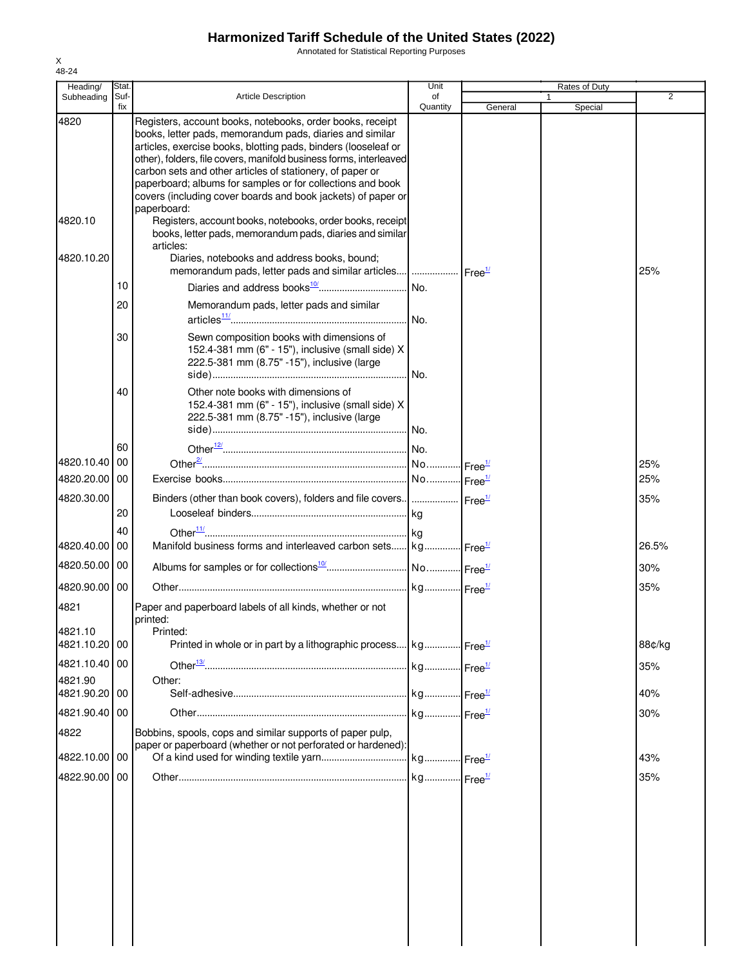Annotated for Statistical Reporting Purposes

| Heading/                 | Stat.       |                                                                                                                                                                                                                                                                                                                                                                                                                                                          | Unit           |         | Rates of Duty |                |
|--------------------------|-------------|----------------------------------------------------------------------------------------------------------------------------------------------------------------------------------------------------------------------------------------------------------------------------------------------------------------------------------------------------------------------------------------------------------------------------------------------------------|----------------|---------|---------------|----------------|
| Subheading               | Suf-<br>fix | <b>Article Description</b>                                                                                                                                                                                                                                                                                                                                                                                                                               | of<br>Quantity | General | 1<br>Special  | $\overline{2}$ |
| 4820                     |             | Registers, account books, notebooks, order books, receipt<br>books, letter pads, memorandum pads, diaries and similar<br>articles, exercise books, blotting pads, binders (looseleaf or<br>other), folders, file covers, manifold business forms, interleaved<br>carbon sets and other articles of stationery, of paper or<br>paperboard; albums for samples or for collections and book<br>covers (including cover boards and book jackets) of paper or |                |         |               |                |
| 4820.10                  |             | paperboard:<br>Registers, account books, notebooks, order books, receipt<br>books, letter pads, memorandum pads, diaries and similar<br>articles:                                                                                                                                                                                                                                                                                                        |                |         |               |                |
| 4820.10.20               |             | Diaries, notebooks and address books, bound;<br>memorandum pads, letter pads and similar articles    Free <sup>1/</sup>                                                                                                                                                                                                                                                                                                                                  |                |         |               | 25%            |
|                          | 10          |                                                                                                                                                                                                                                                                                                                                                                                                                                                          |                |         |               |                |
|                          | 20          | Memorandum pads, letter pads and similar                                                                                                                                                                                                                                                                                                                                                                                                                 |                |         |               |                |
|                          | 30          | Sewn composition books with dimensions of<br>152.4-381 mm (6" - 15"), inclusive (small side) X<br>222.5-381 mm (8.75" -15"), inclusive (large                                                                                                                                                                                                                                                                                                            | No.            |         |               |                |
|                          | 40          | Other note books with dimensions of<br>152.4-381 mm (6" - 15"), inclusive (small side) X<br>222.5-381 mm (8.75" -15"), inclusive (large                                                                                                                                                                                                                                                                                                                  |                |         |               |                |
|                          | 60          |                                                                                                                                                                                                                                                                                                                                                                                                                                                          |                |         |               |                |
| 4820.10.40 00            |             |                                                                                                                                                                                                                                                                                                                                                                                                                                                          |                |         |               | 25%            |
| 4820.20.00 00            |             |                                                                                                                                                                                                                                                                                                                                                                                                                                                          |                |         |               | 25%            |
| 4820.30.00               | 20          | Binders (other than book covers), folders and file covers      Free <sup>1/</sup>                                                                                                                                                                                                                                                                                                                                                                        |                |         |               | 35%            |
|                          | 40          |                                                                                                                                                                                                                                                                                                                                                                                                                                                          |                |         |               |                |
| 4820.40.00 00            |             | Manifold business forms and interleaved carbon sets kg Free <sup>1/</sup>                                                                                                                                                                                                                                                                                                                                                                                |                |         |               | 26.5%          |
| 4820.50.00 00            |             |                                                                                                                                                                                                                                                                                                                                                                                                                                                          |                |         |               | 30%            |
| 4820.90.00 00            |             |                                                                                                                                                                                                                                                                                                                                                                                                                                                          |                |         |               | 35%            |
| 4821                     |             | Paper and paperboard labels of all kinds, whether or not<br>printed:                                                                                                                                                                                                                                                                                                                                                                                     |                |         |               |                |
| 4821.10<br>4821.10.20 00 |             | Printed:<br>Printed in whole or in part by a lithographic process kg Free <sup>1/</sup>                                                                                                                                                                                                                                                                                                                                                                  |                |         |               | 88¢/kg         |
| 4821.10.40 00            |             |                                                                                                                                                                                                                                                                                                                                                                                                                                                          |                |         |               | 35%            |
| 4821.90<br>4821.90.20 00 |             | Other:                                                                                                                                                                                                                                                                                                                                                                                                                                                   |                |         |               | 40%            |
| 4821.90.40 00            |             |                                                                                                                                                                                                                                                                                                                                                                                                                                                          |                |         |               | 30%            |
| 4822                     |             | Bobbins, spools, cops and similar supports of paper pulp,<br>paper or paperboard (whether or not perforated or hardened):                                                                                                                                                                                                                                                                                                                                |                |         |               |                |
| 4822.10.00 00            |             |                                                                                                                                                                                                                                                                                                                                                                                                                                                          |                |         |               | 43%            |
| 4822.90.00 00            |             |                                                                                                                                                                                                                                                                                                                                                                                                                                                          |                |         |               | 35%            |
|                          |             |                                                                                                                                                                                                                                                                                                                                                                                                                                                          |                |         |               |                |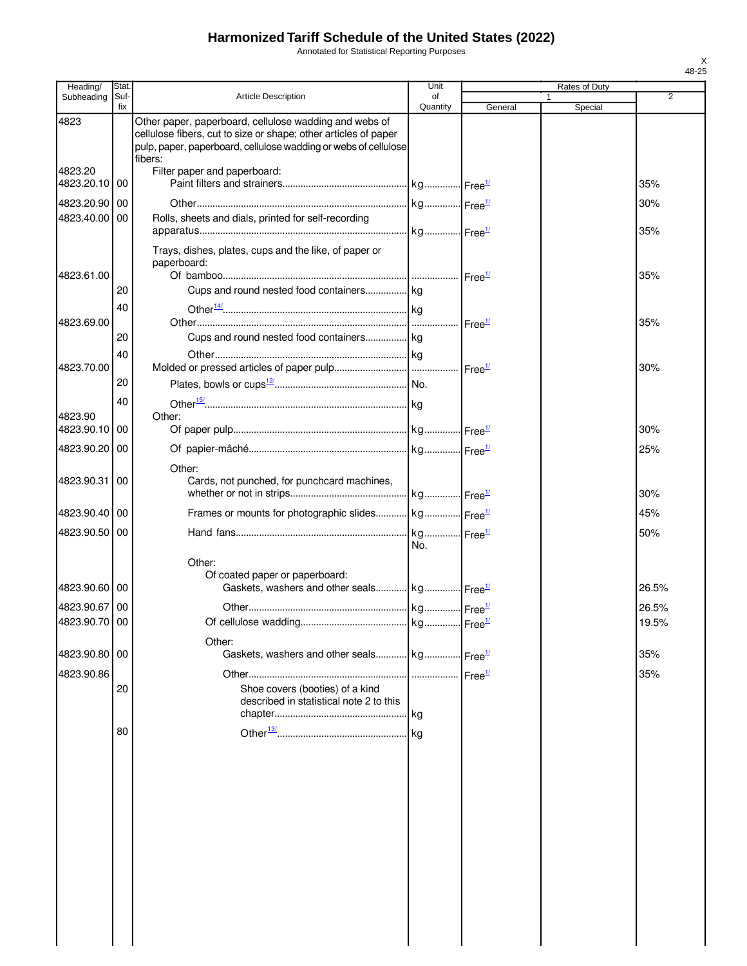Annotated for Statistical Reporting Purposes

| Heading/                       | Stat.       |                                                                                                                                                                                                         | Unit               |                    | Rates of Duty |                |
|--------------------------------|-------------|---------------------------------------------------------------------------------------------------------------------------------------------------------------------------------------------------------|--------------------|--------------------|---------------|----------------|
| Subheading                     | Suf-<br>fix | <b>Article Description</b>                                                                                                                                                                              | of<br>Quantity     | General            | Special       | $\overline{2}$ |
| 4823                           |             | Other paper, paperboard, cellulose wadding and webs of<br>cellulose fibers, cut to size or shape; other articles of paper<br>pulp, paper, paperboard, cellulose wadding or webs of cellulose<br>fibers: |                    |                    |               |                |
| 4823.20<br>4823.20.10          | 00          | Filter paper and paperboard:                                                                                                                                                                            |                    |                    |               | 35%            |
| 4823.20.90                     | 00          |                                                                                                                                                                                                         |                    |                    |               | 30%            |
| 4823.40.00                     | 00          | Rolls, sheets and dials, printed for self-recording                                                                                                                                                     |                    |                    |               |                |
| 4823.61.00                     |             | Trays, dishes, plates, cups and the like, of paper or<br>paperboard:                                                                                                                                    |                    |                    |               | 35%<br>35%     |
|                                | 20          | Cups and round nested food containers kg                                                                                                                                                                |                    |                    |               |                |
| 4823.69.00                     | 40          |                                                                                                                                                                                                         |                    | Free <sup>1/</sup> |               | 35%            |
|                                | 20          | Cups and round nested food containers kg                                                                                                                                                                |                    |                    |               |                |
| 4823.70.00                     | 40          |                                                                                                                                                                                                         |                    |                    |               | 30%            |
|                                | 20          |                                                                                                                                                                                                         |                    |                    |               |                |
|                                | 40          |                                                                                                                                                                                                         |                    |                    |               |                |
| 4823.90<br>4823.90.10          | 00          | Other:                                                                                                                                                                                                  |                    |                    |               | 30%            |
| 4823.90.20                     | 00          |                                                                                                                                                                                                         |                    |                    |               | 25%            |
|                                |             |                                                                                                                                                                                                         |                    |                    |               |                |
| 4823.90.31                     | 00          | Other:<br>Cards, not punched, for punchcard machines,                                                                                                                                                   |                    |                    |               | 30%            |
| 4823.90.40                     | 00          | Frames or mounts for photographic slides kg Free <sup>1/</sup>                                                                                                                                          |                    |                    |               | 45%            |
| 4823.90.50 00                  |             |                                                                                                                                                                                                         | No.                |                    |               | 50%            |
| 4823.90.60 00<br>4823.90.67 00 |             | Other:<br>Of coated paper or paperboard:<br>Gaskets, washers and other seals kg Free <sup>1/</sup>                                                                                                      |                    |                    |               | 26.5%<br>26.5% |
| 4823.90.70 00                  |             |                                                                                                                                                                                                         |                    |                    |               | 19.5%          |
| 4823.90.80 00                  |             | Other:<br>Gaskets, washers and other seals kg                                                                                                                                                           |                    | Free <sup>1/</sup> |               | 35%            |
| 4823.90.86                     |             |                                                                                                                                                                                                         | Free <sup>1/</sup> |                    |               | 35%            |
|                                | 20<br>80    | Shoe covers (booties) of a kind<br>described in statistical note 2 to this                                                                                                                              |                    |                    |               |                |
|                                |             |                                                                                                                                                                                                         |                    |                    |               |                |
|                                |             |                                                                                                                                                                                                         |                    |                    |               |                |